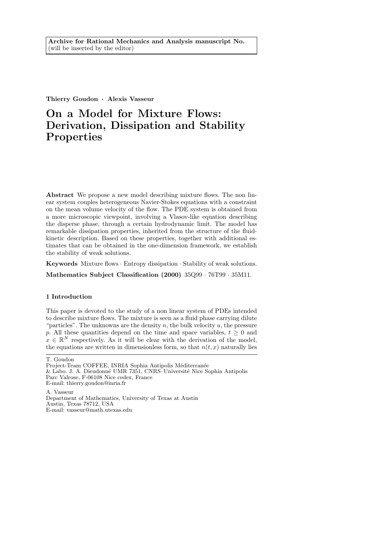Thierry Goudon · Alexis Vasseur

# On a Model for Mixture Flows: Derivation, Dissipation and Stability Properties

Abstract We propose a new model describing mixture flows. The non linear system couples heterogeneous Navier-Stokes equations with a constraint on the mean volume velocity of the flow. The PDE system is obtained from a more microscopic viewpoint, involving a Vlasov-like equation describing the disperse phase, through a certain hydrodynamic limit. The model has remarkable dissipation properties, inherited from the structure of the fluidkinetic description. Based on these properties, together with additional estimates that can be obtained in the one-dimension framework, we establish the stability of weak solutions.

Keywords Mixture flows · Entropy dissipation · Stability of weak solutions.

Mathematics Subject Classification (2000) 35Q99 · 76T99 · 35M11.

# 1 Introduction

This paper is devoted to the study of a non linear system of PDEs intended to describe mixture flows. The mixture is seen as a fluid phase carrying dilute "particles". The unknowns are the density n, the bulk velocity u, the pressure p. All these quantities depend on the time and space variables,  $t > 0$  and  $x \in \mathbb{R}^N$  respectively. As it will be clear with the derivation of the model, the equations are written in dimensionless form, so that  $n(t, x)$  naturally lies

A. Vasseur Department of Mathematics, University of Texas at Austin Austin, Texas 78712, USA E-mail: vasseur@math.utexas.edu

T. Goudon

Project-Team COFFEE, INRIA Sophia Antipolis Méditerranée & Labo. J. A. Dieudonné UMR 7351, CNRS–Université Nice Sophia Antipolis Parc Valrose, F-06108 Nice cedex, France E-mail: thierry.goudon@inria.fr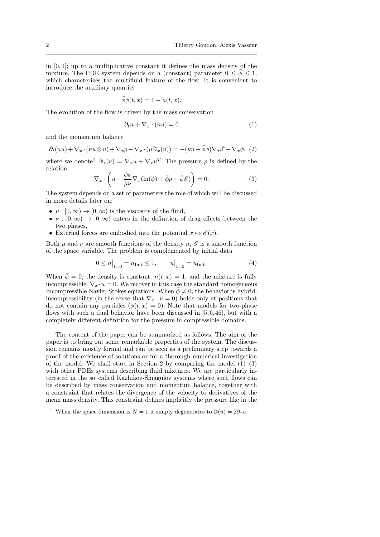in  $[0, 1]$ ; up to a multiplicative constant it defines the mass density of the mixture. The PDE system depends on a (constant) parameter  $0 \leq \bar{\phi} \leq 1$ , which characterizes the multifluid feature of the flow. It is convenient to introduce the auxiliary quantity

$$
\bar{\phi}\phi(t,x) = 1 - n(t,x).
$$

The evolution of the flow is driven by the mass conservation

$$
\partial_t n + \nabla_x \cdot (nu) = 0 \tag{1}
$$

and the momentum balance

$$
\partial_t(nu) + \nabla_x \cdot (nu \otimes u) + \nabla_x p - \nabla_x \cdot (\mu \mathbb{D}_x(u)) = -(\kappa n + \bar{\phi}\phi)\nabla_x \mathscr{E} - \nabla_x \phi, (2)
$$

where we denote<sup>1</sup>  $\mathbb{D}_x(u) = \nabla_x u + \nabla_x u^T$ . The pressure p is defined by the relation

$$
\nabla_x \cdot \left( u - \frac{\bar{\phi}\phi}{\mu\nu} \nabla_x (\ln(\phi) + \bar{\phi}p + \bar{\phi}\mathscr{E}) \right) = 0. \tag{3}
$$

The system depends on a set of parameters the role of which will be discussed in more details later on:

- $\mu : [0, \infty) \to [0, \infty)$  is the viscosity of the fluid,
- $\nu : [0, \infty) \to [0, \infty)$  enters in the definition of drag effects between the two phases,
- External forces are embodied into the potential  $x \mapsto \mathscr{E}(x)$ .

Both  $\mu$  and  $\nu$  are smooth functions of the density n,  $\mathscr E$  is a smooth function of the space variable. The problem is complemented by initial data

$$
0 \le n \big|_{t=0} = n_{\text{Init}} \le 1, \qquad u \big|_{t=0} = u_{\text{Init}}.\tag{4}
$$

When  $\bar{\phi} = 0$ , the density is constant:  $n(t, x) = 1$ , and the mixture is fully incompressible:  $\nabla_x \cdot u = 0$ . We recover in this case the standard homogeneous Incompressible Navier Stokes equations. When  $\bar{\phi} \neq 0$ , the behavior is hybrid: incompressibility (in the sense that  $\nabla_x \cdot u = 0$ ) holds only at positions that do not contain any particles  $(\phi(t, x) = 0)$ . Note that models for two-phase flows with such a dual behavior have been discussed in [5, 6, 46], but with a completely different definition for the pressure in compressible domains.

The content of the paper can be summarized as follows. The aim of the paper is to bring out some remarkable properties of the system. The discussion remains mostly formal and can be seen as a preliminary step towards a proof of the existence of solutions or for a thorough numerical investigation of the model. We shall start in Section 2 by comparing the model  $(1)$ – $(3)$ with other PDEs systems describing fluid mixtures. We are particularly interested in the so–called Kazhikov-Smagulov systems where such flows can be described by mass conservation and momentum balance, together with a constraint that relates the divergence of the velocity to derivatives of the mean mass density. This constraint defines implicitly the pressure like in the

<sup>&</sup>lt;sup>1</sup> When the space dimension is  $N = 1$  it simply degenerates to  $\mathbb{D}(u) = 2\partial_x u$ .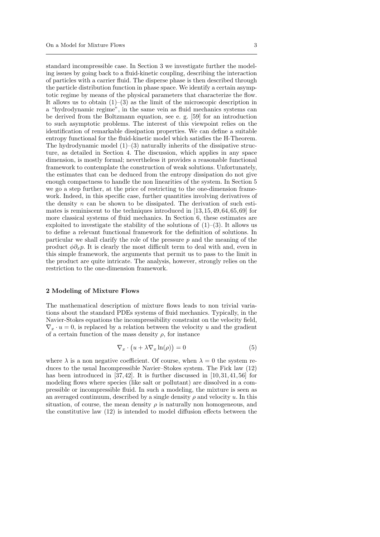standard incompressible case. In Section 3 we investigate further the modeling issues by going back to a fluid-kinetic coupling, describing the interaction of particles with a carrier fluid. The disperse phase is then described through the particle distribution function in phase space. We identify a certain asymptotic regime by means of the physical parameters that characterize the flow. It allows us to obtain  $(1)$ – $(3)$  as the limit of the microscopic description in a "hydrodynamic regime", in the same vein as fluid mechanics systems can be derived from the Boltzmann equation, see e. g. [59] for an introduction to such asymptotic problems. The interest of this viewpoint relies on the identification of remarkable dissipation properties. We can define a suitable entropy functional for the fluid-kinetic model which satisfies the H-Theorem. The hydrodynamic model  $(1)$ – $(3)$  naturally inherits of the dissipative structure, as detailed in Section 4. The discussion, which applies in any space dimension, is mostly formal; nevertheless it provides a reasonable functional framework to contemplate the construction of weak solutions. Unfortunately, the estimates that can be deduced from the entropy dissipation do not give enough compactness to handle the non linearities of the system. In Section 5 we go a step further, at the price of restricting to the one-dimension framework. Indeed, in this specific case, further quantities involving derivatives of the density  $n$  can be shown to be dissipated. The derivation of such estimates is reminiscent to the techniques introduced in [13, 15,49,64, 65, 69] for more classical systems of fluid mechanics. In Section 6, these estimates are exploited to investigate the stability of the solutions of  $(1)-(3)$ . It allows us to define a relevant functional framework for the definition of solutions. In particular we shall clarify the role of the pressure  $p$  and the meaning of the product  $\phi \partial_x p$ . It is clearly the most difficult term to deal with and, even in this simple framework, the arguments that permit us to pass to the limit in the product are quite intricate. The analysis, however, strongly relies on the restriction to the one-dimension framework.

### 2 Modeling of Mixture Flows

The mathematical description of mixture flows leads to non trivial variations about the standard PDEs systems of fluid mechanics. Typically, in the Navier-Stokes equations the incompressibility constraint on the velocity field,  $\nabla_x \cdot u = 0$ , is replaced by a relation between the velocity u and the gradient of a certain function of the mass density  $\rho$ , for instance

$$
\nabla_x \cdot \left( u + \lambda \nabla_x \ln(\rho) \right) = 0 \tag{5}
$$

where  $\lambda$  is a non negative coefficient. Of course, when  $\lambda = 0$  the system reduces to the usual Incompressible Navier–Stokes system. The Fick law (12) has been introduced in  $[37, 42]$ . It is further discussed in  $[10, 31, 41, 56]$  for modeling flows where species (like salt or pollutant) are dissolved in a compressible or incompressible fluid. In such a modeling, the mixture is seen as an averaged continuum, described by a single density  $\rho$  and velocity u. In this situation, of course, the mean density  $\rho$  is naturally non homogeneous, and the constitutive law (12) is intended to model diffusion effects between the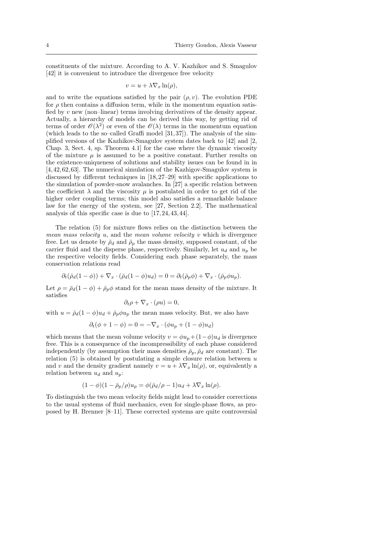constituents of the mixture. According to A. V. Kazhikov and S. Smagulov [42] it is convenient to introduce the divergence free velocity

$$
v = u + \lambda \nabla_x \ln(\rho),
$$

and to write the equations satisfied by the pair  $(\rho, v)$ . The evolution PDE for  $\rho$  then contains a diffusion term, while in the momentum equation satisfied by  $v$  new (non–linear) terms involving derivatives of the density appear. Actually, a hierarchy of models can be derived this way, by getting rid of terms of order  $\mathcal{O}(\lambda^2)$  or even of the  $\mathcal{O}(\lambda)$  terms in the momentum equation (which leads to the so–called Graffi model  $[31, 37]$ ). The analysis of the simplified versions of the Kazhikov-Smagulov system dates back to [42] and [2, Chap. 3, Sect. 4, sp. Theorem 4.1] for the case where the dynamic viscosity of the mixture  $\mu$  is assumed to be a positive constant. Further results on the existence-uniqueness of solutions and stability issues can be found in in [4, 42, 62, 63]. The numerical simulation of the Kazhigov-Smagulov system is discussed by different techniques in [18, 27–29] with specific applications to the simulation of powder-snow avalanches. In [27] a specific relation between the coefficient  $\lambda$  and the viscosity  $\mu$  is postulated in order to get rid of the higher order coupling terms; this model also satisfies a remarkable balance law for the energy of the system, see [27, Section 2.2]. The mathematical analysis of this specific case is due to [17, 24, 43, 44].

The relation (5) for mixture flows relies on the distinction between the mean mass velocity  $u$ , and the mean volume velocity  $v$  which is divergence free. Let us denote by  $\bar{\rho}_d$  and  $\bar{\rho}_p$  the mass density, supposed constant, of the carrier fluid and the disperse phase, respectively. Similarly, let  $u_d$  and  $u_p$  be the respective velocity fields. Considering each phase separately, the mass conservation relations read

$$
\partial_t(\bar{\rho}_d(1-\phi)) + \nabla_x \cdot (\bar{\rho}_d(1-\phi)u_d) = 0 = \partial_t(\bar{\rho}_p\phi) + \nabla_x \cdot (\bar{\rho}_p\phi u_p).
$$

Let  $\rho = \bar{\rho}_d(1-\phi) + \bar{\rho}_p\phi$  stand for the mean mass density of the mixture. It satisfies

$$
\partial_t \rho + \nabla_x \cdot (\rho u) = 0,
$$

with  $u = \bar{\rho}_d(1 - \phi)u_d + \bar{\rho}_p\phi u_p$  the mean mass velocity. But, we also have

$$
\partial_t(\phi + 1 - \phi) = 0 = -\nabla_x \cdot (\phi u_p + (1 - \phi) u_d)
$$

which means that the mean volume velocity  $v = \phi u_p + (1-\phi)u_d$  is divergence free. This is a consequence of the incompressibility of each phase considered independently (by assumption their mass densities  $\bar{\rho}_p$ ,  $\bar{\rho}_d$  are constant). The relation  $(5)$  is obtained by postulating a simple closure relation between u and v and the density gradient namely  $v = u + \lambda \nabla_x \ln(\rho)$ , or, equivalently a relation between  $u_d$  and  $u_p$ :

$$
(1 - \phi)(1 - \bar{\rho}_p/\rho)u_p = \phi(\bar{\rho}_d/\rho - 1)u_d + \lambda \nabla_x \ln(\rho).
$$

To distinguish the two mean velocity fields might lead to consider corrections to the usual systems of fluid mechanics, even for single-phase flows, as proposed by H. Brenner [8–11]. These corrected systems are quite controversial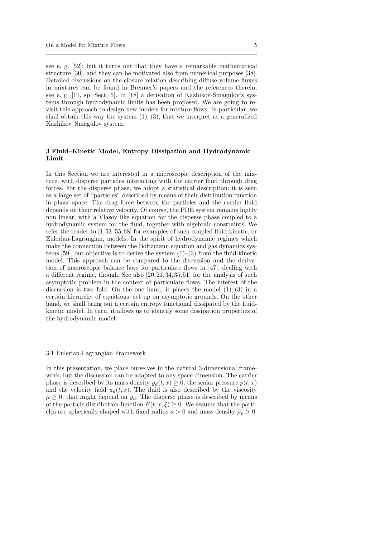see e. g. [52]; but it turns out that they have a remarkable mathematical structure [30], and they can be motivated also from numerical purposes [38]. Detailed discussions on the closure relation describing diffuse volume fluxes in mixtures can be found in Brenner's papers and the references therein, see e. g. [11, sp. Sect. 5]. In [18] a derivation of Kazhikov-Smagulov's systems through hydrodynamic limits has been proposed. We are going to revisit this approach to design new models for mixture flows. In particular, we shall obtain this way the system  $(1)$ – $(3)$ , that we interpret as a generalized Kazhikov–Smagulov system.

## 3 Fluid–Kinetic Model, Entropy Dissipation and Hydrodynamic Limit

In this Section we are interested in a microscopic description of the mixture, with disperse particles interacting with the carrier fluid through drag forces. For the disperse phase, we adopt a statistical description: it is seen as a large set of "particles" described by means of their distribution function in phase space. The drag force between the particles and the carrier fluid depends on their relative velocity. Of course, the PDE system remains highly non linear, with a Vlasov like equation for the disperse phase coupled to a hydrodynamic system for the fluid, together with algebraic constraints. We refer the reader to [1, 53–55, 68] for examples of such coupled fluid-kinetic, or Eulerian-Lagrangian, models. In the spirit of hydrodynamic regimes which make the connection between the Boltzmann equation and gas dynamics systems [59], our objective is to derive the system  $(1)$ – $(3)$  from the fluid-kinetic model. This approach can be compared to the discussion and the derivation of macroscopic balance laws for particulate flows in [47], dealing with a different regime, though. See also [20, 21, 34, 35, 51] for the analysis of such asymptotic problem in the context of particulate flows. The interest of the discussion is two–fold. On the one hand, it places the model  $(1)$ – $(3)$  in a certain hierarchy of equations, set up on asymptotic grounds. On the other hand, we shall bring out a certain entropy functional dissipated by the fluidkinetic model. In turn, it allows us to identify some dissipation properties of the hydrodynamic model.

#### 3.1 Eulerian-Lagrangian Framework

In this presentation, we place ourselves in the natural 3-dimensional framework, but the discussion can be adapted to any space dimension. The carrier phase is described by its mass density  $\varrho_d(t, x) \geq 0$ , the scalar pressure  $p(t, x)$ and the velocity field  $u_d(t, x)$ . The fluid is also described by the viscosity  $\mu \geq 0$ , that might depend on  $\varrho_d$ . The disperse phase is described by means of the particle distribution function  $F(t, x, \xi) \geq 0$ . We assume that the particles are spherically shaped with fixed radius  $a > 0$  and mass density  $\bar{p}_p > 0$ .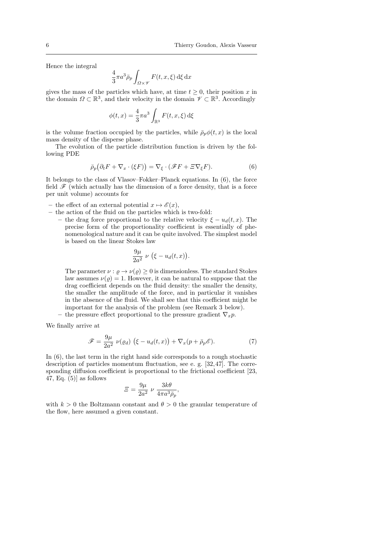Hence the integral

$$
\frac{4}{3}\pi a^3 \bar{\rho}_p \int_{\Omega \times \mathscr{V}} F(t, x, \xi) \,d\xi \,dx
$$

gives the mass of the particles which have, at time  $t \geq 0$ , their position x in the domain  $\Omega \subset \mathbb{R}^3$ , and their velocity in the domain  $\mathscr{V} \subset \mathbb{R}^3$ . Accordingly

$$
\phi(t,x) = \frac{4}{3}\pi a^3 \int_{\mathbb{R}^3} F(t,x,\xi) \,\mathrm{d}\xi
$$

is the volume fraction occupied by the particles, while  $\bar{\rho}_p \phi(t, x)$  is the local mass density of the disperse phase.

The evolution of the particle distribution function is driven by the following PDE

$$
\bar{\rho}_p(\partial_t F + \nabla_x \cdot (\xi F)) = \nabla_{\xi} \cdot (\mathscr{F} F + \Xi \nabla_{\xi} F). \tag{6}
$$

It belongs to the class of Vlasov–Fokker–Planck equations. In (6), the force field  $\mathscr F$  (which actually has the dimension of a force density, that is a force per unit volume) accounts for

- the effect of an external potential  $x \mapsto \mathscr{E}(x)$ ,
- the action of the fluid on the particles which is two-fold:
	- the drag force proportional to the relative velocity  $\xi u_d(t, x)$ . The precise form of the proportionality coefficient is essentially of phenomenological nature and it can be quite involved. The simplest model is based on the linear Stokes law

$$
\frac{9\mu}{2a^2} \nu \left(\xi - u_d(t,x)\right).
$$

The parameter  $\nu : \rho \to \nu(\rho) > 0$  is dimensionless. The standard Stokes law assumes  $\nu(\rho) = 1$ . However, it can be natural to suppose that the drag coefficient depends on the fluid density: the smaller the density, the smaller the amplitude of the force, and in particular it vanishes in the absence of the fluid. We shall see that this coefficient might be important for the analysis of the problem (see Remark 3 below).

the pressure effect proportional to the pressure gradient  $\nabla_x p$ .

We finally arrive at

$$
\mathscr{F} = \frac{9\mu}{2a^2} \ \nu(\varrho_d) \ (\xi - u_d(t, x)) + \nabla_x (p + \bar{\rho}_p \mathscr{E}). \tag{7}
$$

In (6), the last term in the right hand side corresponds to a rough stochastic description of particles momentum fluctuation, see e. g. [32,47]. The corresponding diffusion coefficient is proportional to the frictional coefficient [23, 47, Eq.  $(5)$  as follows

$$
\varXi = \frac{9\mu}{2a^2} \nu \frac{3k\theta}{4\pi a^3 \bar{\rho}_p},
$$

with  $k > 0$  the Boltzmann constant and  $\theta > 0$  the granular temperature of the flow, here assumed a given constant.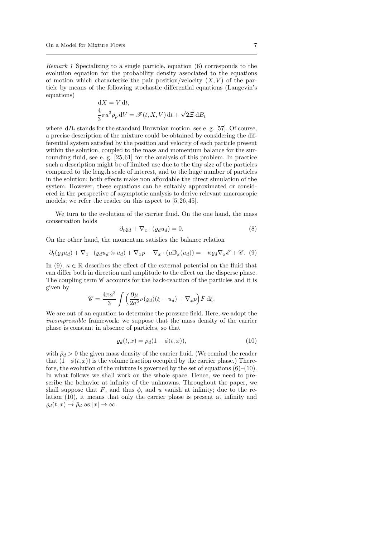Remark 1 Specializing to a single particle, equation (6) corresponds to the evolution equation for the probability density associated to the equations of motion which characterize the pair position/velocity  $(X, V)$  of the particle by means of the following stochastic differential equations (Langevin's equations)

$$
dX = V dt,
$$
  

$$
\frac{4}{3}\pi a^3 \bar{\rho}_p dV = \mathscr{F}(t, X, V) dt + \sqrt{2\Xi} dB_t
$$

where  $dB_t$  stands for the standard Brownian motion, see e.g. [57]. Of course, a precise description of the mixture could be obtained by considering the differential system satisfied by the position and velocity of each particle present within the solution, coupled to the mass and momentum balance for the surrounding fluid, see e. g. [25, 61] for the analysis of this problem. In practice such a description might be of limited use due to the tiny size of the particles compared to the length scale of interest, and to the huge number of particles in the solution: both effects make non affordable the direct simulation of the system. However, these equations can be suitably approximated or considered in the perspective of asymptotic analysis to derive relevant macroscopic models; we refer the reader on this aspect to [5, 26, 45].

We turn to the evolution of the carrier fluid. On the one hand, the mass conservation holds

$$
\partial_t \varrho_d + \nabla_x \cdot (\varrho_d u_d) = 0. \tag{8}
$$

On the other hand, the momentum satisfies the balance relation

$$
\partial_t(\varrho_d u_d) + \nabla_x \cdot (\varrho_d u_d \otimes u_d) + \nabla_x p - \nabla_x \cdot (\mu \mathbb{D}_x(u_d)) = -\kappa \varrho_d \nabla_x \mathscr{E} + \mathscr{C}. \tag{9}
$$

In (9),  $\kappa \in \mathbb{R}$  describes the effect of the external potential on the fluid that can differ both in direction and amplitude to the effect on the disperse phase. The coupling term  $\mathscr C$  accounts for the back-reaction of the particles and it is given by

$$
\mathscr{C} = \frac{4\pi a^3}{3} \int \left( \frac{9\mu}{2a^2} \nu(\varrho_d) (\xi - u_d) + \nabla_x p \right) F \,d\xi.
$$

We are out of an equation to determine the pressure field. Here, we adopt the incompressible framework: we suppose that the mass density of the carrier phase is constant in absence of particles, so that

$$
\varrho_d(t,x) = \bar{\rho}_d(1 - \phi(t,x)),\tag{10}
$$

with  $\bar{\rho}_d > 0$  the given mass density of the carrier fluid. (We remind the reader that  $(1-\phi(t, x))$  is the volume fraction occupied by the carrier phase.) Therefore, the evolution of the mixture is governed by the set of equations  $(6)$ – $(10)$ . In what follows we shall work on the whole space. Hence, we need to prescribe the behavior at infinity of the unknowns. Throughout the paper, we shall suppose that F, and thus  $\phi$ , and u vanish at infinity; due to the relation (10), it means that only the carrier phase is present at infinity and  $\rho_d(t, x) \to \bar{\rho}_d$  as  $|x| \to \infty$ .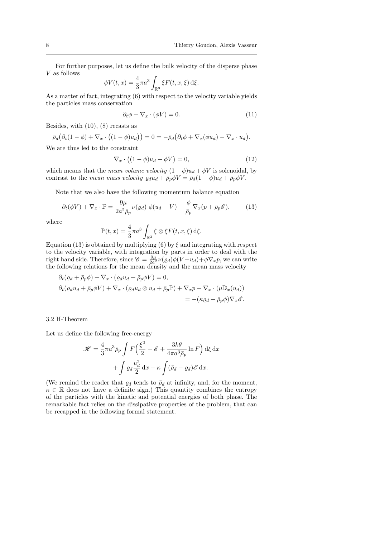For further purposes, let us define the bulk velocity of the disperse phase V as follows

$$
\phi V(t,x) = \frac{4}{3}\pi a^3 \int_{\mathbb{R}^3} \xi F(t,x,\xi) \,d\xi.
$$

As a matter of fact, integrating (6) with respect to the velocity variable yields the particles mass conservation

$$
\partial_t \phi + \nabla_x \cdot (\phi V) = 0. \tag{11}
$$

Besides, with (10), (8) recasts as

$$
\bar{\rho}_d\big(\partial_t(1-\phi)+\nabla_x\cdot\big((1-\phi)u_d\big)\big)=0=-\bar{\rho}_d\big(\partial_t\phi+\nabla_x(\phi u_d)-\nabla_x\cdot u_d\big).
$$

We are thus led to the constraint

$$
\nabla_x \cdot \left( (1 - \phi)u_d + \phi V \right) = 0,\tag{12}
$$

which means that the mean volume velocity  $(1 - \phi)u_d + \phi V$  is solenoidal, by contrast to the mean mass velocity  $\varrho_d u_d + \bar{\rho}_p \phi V = \bar{\rho}_d (1 - \phi) u_d + \bar{\rho}_p \phi V$ .

Note that we also have the following momentum balance equation

$$
\partial_t(\phi V) + \nabla_x \cdot \mathbb{P} = \frac{9\mu}{2a^2 \bar{\rho}_p} \nu(\varrho_d) \phi(u_d - V) - \frac{\phi}{\bar{\rho}_p} \nabla_x(p + \bar{\rho}_p \mathscr{E}).\tag{13}
$$

where

$$
\mathbb{P}(t,x) = \frac{4}{3}\pi a^3 \int_{\mathbb{R}^3} \xi \otimes \xi F(t,x,\xi) \,d\xi.
$$

Equation (13) is obtained by multiplying (6) by  $\xi$  and integrating with respect to the velocity variable, with integration by parts in order to deal with the right hand side. Therefore, since  $\mathscr{C} = \frac{9\mu}{2a^2} \nu(\rho_d) \phi(V - u_d) + \phi \nabla_x p$ , we can write the following relations for the mean density and the mean mass velocity

$$
\partial_t (\varrho_d + \bar{\rho}_p \phi) + \nabla_x \cdot (\varrho_d u_d + \bar{\rho}_p \phi V) = 0,
$$
  

$$
\partial_t (\varrho_d u_d + \bar{\rho}_p \phi V) + \nabla_x \cdot (\varrho_d u_d \otimes u_d + \bar{\rho}_p \mathbb{P}) + \nabla_x p - \nabla_x \cdot (\mu \mathbb{D}_x (u_d))
$$
  

$$
= -(\kappa \varrho_d + \bar{\rho}_p \phi) \nabla_x \mathscr{E}.
$$

## 3.2 H-Theorem

Let us define the following free-energy

$$
\mathcal{H} = \frac{4}{3}\pi a^3 \bar{\rho}_p \int F\left(\frac{\xi^2}{2} + \mathcal{E} + \frac{3k\theta}{4\pi a^3 \bar{\rho}_p} \ln F\right) d\xi dx
$$

$$
+ \int \varrho_d \frac{u_d^2}{2} dx - \kappa \int (\bar{\rho}_d - \varrho_d) \mathcal{E} dx.
$$

(We remind the reader that  $\varrho_d$  tends to  $\bar{\rho}_d$  at infinity, and, for the moment,  $\kappa \in \mathbb{R}$  does not have a definite sign.) This quantity combines the entropy of the particles with the kinetic and potential energies of both phase. The remarkable fact relies on the dissipative properties of the problem, that can be recapped in the following formal statement.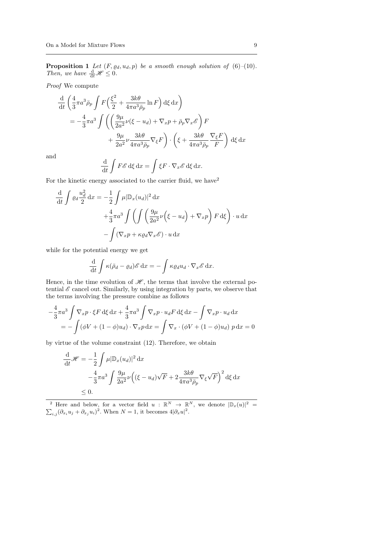**Proposition 1** Let  $(F, \varrho_d, u_d, p)$  be a smooth enough solution of  $(6)$ - $(10)$ . Then, we have  $\frac{d}{dt}H \leq 0$ .

Proof We compute

$$
\frac{\mathrm{d}}{\mathrm{d}t} \left( \frac{4}{3} \pi a^3 \bar{\rho}_p \int F \left( \frac{\xi^2}{2} + \frac{3k\theta}{4\pi a^3 \bar{\rho}_p} \ln F \right) \mathrm{d}\xi \, \mathrm{d}x \right)
$$
\n
$$
= -\frac{4}{3} \pi a^3 \int \left( \left( \frac{9\mu}{2a^2} \nu (\xi - u_d) + \nabla_x p + \bar{\rho}_p \nabla_x \mathscr{E} \right) F \right. \\
\left. + \frac{9\mu}{2a^2} \nu \frac{3k\theta}{4\pi a^3 \bar{\rho}_p} \nabla_{\xi} F \right) \cdot \left( \xi + \frac{3k\theta}{4\pi a^3 \bar{\rho}_p} \frac{\nabla_{\xi} F}{F} \right) \mathrm{d}\xi \, \mathrm{d}x
$$

and

−

$$
\frac{\mathrm{d}}{\mathrm{d}t} \int F \mathscr{E} \, \mathrm{d}\xi \, \mathrm{d}x = \int \xi F \cdot \nabla_x \mathscr{E} \, \mathrm{d}\xi \, \mathrm{d}x.
$$

For the kinetic energy associated to the carrier fluid, we have  $2^2$ 

$$
\frac{\mathrm{d}}{\mathrm{d}t} \int \varrho d\frac{u_d^2}{2} \,\mathrm{d}x = -\frac{1}{2} \int \mu |\mathbb{D}_x(u_d)|^2 \,\mathrm{d}x \n+ \frac{4}{3}\pi a^3 \int \left( \int \left( \frac{9\mu}{2a^2} \nu \left( \xi - u_d \right) + \nabla_x p \right) F \,\mathrm{d}\xi \right) \cdot u \,\mathrm{d}x \n- \int (\nabla_x p + \kappa \varrho_d \nabla_x \mathscr{E}) \cdot u \,\mathrm{d}x
$$

while for the potential energy we get

$$
\frac{\mathrm{d}}{\mathrm{d}t} \int \kappa (\bar{\rho}_d - \varrho_d) \mathscr{E} \, \mathrm{d}x = - \int \kappa \varrho_d u_d \cdot \nabla_x \mathscr{E} \, \mathrm{d}x.
$$

Hence, in the time evolution of  $\mathcal{H}$ , the terms that involve the external potential  $\mathscr E$  cancel out. Similarly, by using integration by parts, we observe that the terms involving the pressure combine as follows

$$
-\frac{4}{3}\pi a^3 \int \nabla_x p \cdot \xi F d\xi dx + \frac{4}{3}\pi a^3 \int \nabla_x p \cdot u_d F d\xi dx - \int \nabla_x p \cdot u_d dx
$$
  
= 
$$
-\int (\phi V + (1 - \phi)u_d) \cdot \nabla_x p dx = \int \nabla_x \cdot (\phi V + (1 - \phi)u_d) p dx = 0
$$

by virtue of the volume constraint (12). Therefore, we obtain

$$
\frac{\mathrm{d}}{\mathrm{d}t} \mathcal{H} = -\frac{1}{2} \int \mu |\mathbb{D}_x(u_d)|^2 \,\mathrm{d}x
$$
  

$$
-\frac{4}{3} \pi a^3 \int \frac{9\mu}{2a^2} \nu \left( (\xi - u_d) \sqrt{F} + 2 \frac{3k\theta}{4\pi a^3 \bar{\rho}_p} \nabla_\xi \sqrt{F} \right)^2 \mathrm{d}\xi \,\mathrm{d}x
$$
  

$$
\leq 0.
$$

<sup>2</sup> Here and below, for a vector field  $u : \mathbb{R}^N \to \mathbb{R}^N$ , we denote  $|\mathbb{D}_x(u)|^2 = \sum_{i,j} (\partial_{x_i} u_j + \partial_{x_j} u_i)^2$ . When  $N = 1$ , it becomes  $4|\partial_x u|^2$ .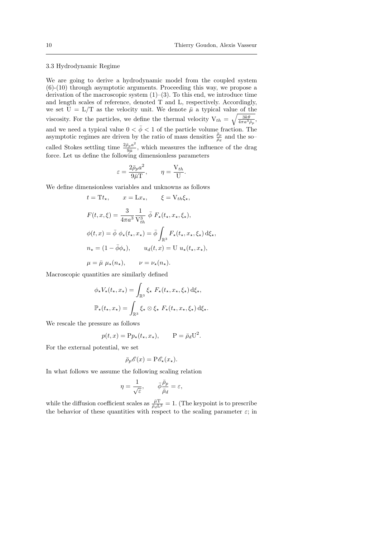#### 3.3 Hydrodynamic Regime

We are going to derive a hydrodynamic model from the coupled system (6)-(10) through asymptotic arguments. Proceeding this way, we propose a derivation of the macroscopic system  $(1)$ – $(3)$ . To this end, we introduce time and length scales of reference, denoted T and L, respectively. Accordingly, we set  $U = L/T$  as the velocity unit. We denote  $\bar{\mu}$  a typical value of the viscosity. For the particles, we define the thermal velocity  $V_{th} = \sqrt{\frac{3k\theta}{4\pi a^3 \bar{\rho}_p}},$ and we need a typical value  $0 < \bar{\phi} < 1$  of the particle volume fraction. The asymptotic regimes are driven by the ratio of mass densities  $\frac{\bar{p}_p}{\bar{\rho}_d}$  and the socalled Stokes settling time  $\frac{2\bar{\rho}_p a^2}{9\bar{a}}$  $\frac{\partial p}{\partial \bar{\mu}}$ , which measures the influence of the drag force. Let us define the following dimensionless parameters

$$
\varepsilon = \frac{2\bar{\rho}_p a^2}{9\bar{\mu}\mathbf{T}}, \qquad \eta = \frac{\mathbf{V}_{th}}{\mathbf{U}}.
$$

We define dimensionless variables and unknowns as follows

$$
t = \mathbf{T}t_{\star}, \qquad x = \mathbf{L}x_{\star}, \qquad \xi = \mathbf{V}_{th}\xi_{\star},
$$
  
\n
$$
F(t, x, \xi) = \frac{3}{4\pi a^3} \frac{1}{\mathbf{V}_{th}^3} \bar{\phi} F_{\star}(t_{\star}, x_{\star}, \xi_{\star}),
$$
  
\n
$$
\phi(t, x) = \bar{\phi} \phi_{\star}(t_{\star}, x_{\star}) = \bar{\phi} \int_{\mathbb{R}^3} F_{\star}(t_{\star}, x_{\star}, \xi_{\star}) d\xi_{\star},
$$
  
\n
$$
n_{\star} = (1 - \bar{\phi}\phi_{\star}), \qquad u_d(t, x) = \mathbf{U} u_{\star}(t_{\star}, x_{\star}),
$$
  
\n
$$
\mu = \bar{\mu} \mu_{\star}(n_{\star}), \qquad \nu = \nu_{\star}(n_{\star}).
$$

Macroscopic quantities are similarly defined

$$
\phi_{\star} V_{\star}(t_{\star}, x_{\star}) = \int_{\mathbb{R}^3} \xi_{\star} F_{\star}(t_{\star}, x_{\star}, \xi_{\star}) d\xi_{\star},
$$

$$
\mathbb{P}_{\star}(t_{\star}, x_{\star}) = \int_{\mathbb{R}^3} \xi_{\star} \otimes \xi_{\star} F_{\star}(t_{\star}, x_{\star}, \xi_{\star}) d\xi_{\star}.
$$

We rescale the pressure as follows

$$
p(t, x) = \mathbf{P} p_{\star}(t_{\star}, x_{\star}), \qquad \mathbf{P} = \bar{\rho}_d \mathbf{U}^2.
$$

For the external potential, we set

$$
\bar{\rho}_p \mathscr{E}(x) = \mathbf{P} \mathscr{E}_\star(x_\star).
$$

In what follows we assume the following scaling relation

$$
\eta = \frac{1}{\sqrt{\varepsilon}}, \qquad \bar{\phi} \frac{\bar{\rho}_p}{\bar{\rho}_d} = \varepsilon,
$$

while the diffusion coefficient scales as  $\frac{\bar{\mu}T}{\bar{\rho}_d L^2} = 1$ . (The keypoint is to prescribe the behavior of these quantities with respect to the scaling parameter  $\varepsilon$ ; in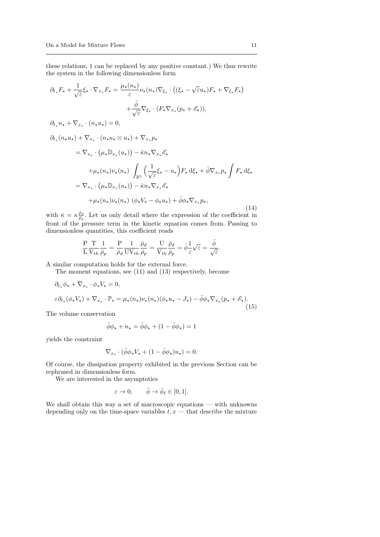these relations, 1 can be replaced by any positive constant.) We thus rewrite the system in the following dimensionless form

$$
\partial_{t_{\star}} F_{\star} + \frac{1}{\sqrt{\varepsilon}} \xi_{\star} \cdot \nabla_{x_{\star}} F_{\star} = \frac{\mu_{\star}(n_{\star})}{\varepsilon} \nu_{\star}(n_{\star}) \nabla_{\xi_{\star}} \cdot ((\xi_{\star} - \sqrt{\varepsilon} u_{\star}) F_{\star} + \nabla_{\xi_{\star}} F_{\star})
$$
  
+ 
$$
\frac{\bar{\phi}}{\sqrt{\varepsilon}} \nabla_{\xi_{\star}} \cdot (F_{\star} \nabla_{x_{\star}} (p_{\star} + \mathscr{E}_{\star})),
$$
  

$$
\partial_{t_{\star}} n_{\star} + \nabla_{x_{\star}} \cdot (n_{\star} u_{\star}) = 0,
$$
  

$$
\partial_{t_{\star}} (n_{\star} u_{\star}) + \nabla_{x_{\star}} \cdot (n_{\star} u_{\star} \otimes u_{\star}) + \nabla_{x_{\star}} p_{\star}
$$
  

$$
= \nabla_{x_{\star}} \cdot (\mu_{\star} \mathbb{D}_{x_{\star}} (u_{\star})) - \bar{\kappa} n_{\star} \nabla_{x_{\star}} \mathscr{E}_{\star}
$$
  

$$
+ \mu_{\star} (n_{\star}) \nu_{\star} (n_{\star}) \int_{\mathbb{R}^{3}} \left( \frac{1}{\sqrt{\varepsilon}} \xi_{\star} - u_{\star} \right) F_{\star} d\xi_{\star} + \bar{\phi} \nabla_{x_{\star}} p_{\star} \int F_{\star} d\xi_{\star}
$$
  

$$
= \nabla_{x_{\star}} \cdot (\mu_{\star} \mathbb{D}_{x_{\star}} (u_{\star})) - \bar{\kappa} n_{\star} \nabla_{x_{\star}} \mathscr{E}_{\star}
$$
  

$$
+ \mu_{\star} (n_{\star}) \nu_{\star} (n_{\star}) (\phi_{\star} V_{\star} - \phi_{\star} u_{\star}) + \bar{\phi} \phi_{\star} \nabla_{x_{\star}} p_{\star},
$$
  
(14)

with  $\bar{\kappa} = \kappa \frac{\bar{\rho}_d}{\bar{\rho}_p}$ . Let us only detail where the expression of the coefficient in front of the pressure term in the kinetic equation comes from. Passing to dimensionless quantities, this coefficient reads

$$
\frac{P}{L}\frac{T}{V_{th}}\frac{1}{\bar{\rho}_p} = \frac{P}{\bar{\rho}_d}\frac{1}{UV_{th}}\frac{\bar{\rho}_d}{\bar{\rho}_p} = \frac{U}{V_{th}}\frac{\bar{\rho}_d}{\bar{\rho}_p} = \bar{\phi}\frac{1}{\varepsilon}\sqrt{\varepsilon} = \frac{\bar{\phi}}{\sqrt{\varepsilon}}.
$$

A similar computation holds for the external force.

The moment equations, see (11) and (13) respectively, become

$$
\partial_{t_{\star}} \phi_{\star} + \nabla_{x_{\star}} \cdot \phi_{\star} V_{\star} = 0,
$$
  

$$
\varepsilon \partial_{t_{\star}} (\phi_{\star} V_{\star}) + \nabla_{x_{\star}} \cdot \mathbb{P}_{\star} = \mu_{\star}(n_{\star}) \nu_{\star}(n_{\star}) (\phi_{\star} u_{\star} - J_{\star}) - \bar{\phi} \phi_{\star} \nabla_{x_{\star}} (p_{\star} + \mathscr{E}_{\star}).
$$

The volume conservation

$$
\bar{\phi} \phi_{\star} + n_{\star} = \bar{\phi} \phi_{\star} + (1 - \bar{\phi} \phi_{\star}) = 1
$$

yields the constraint

$$
\nabla_{x_\star} \cdot (\bar{\phi} \phi_\star V_\star + (1 - \bar{\phi} \phi_\star) u_\star) = 0.
$$

Of course, the dissipation property exhibited in the previous Section can be rephrased in dimensionless form.

We are interested in the asymptotics

$$
\varepsilon \to 0, \qquad \bar{\phi} \to \bar{\phi}_{\ell} \in [0, 1].
$$

We shall obtain this way a set of macroscopic equations — with unknowns depending only on the time-space variables  $t, x$  — that describe the mixture

(15)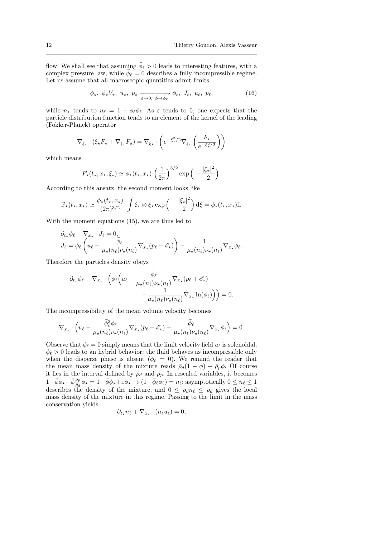flow. We shall see that assuming  $\bar{\phi}_{\ell} > 0$  leads to interesting features, with a complex pressure law, while  $\bar{\phi}_{\ell} = 0$  describes a fully incompressible regime. Let us assume that all macroscopic quantities admit limits

$$
\phi_{\star}, \ \phi_{\star} V_{\star}, \ u_{\star}, \ p_{\star} \xrightarrow[\varepsilon \to 0, \ \bar{\phi} \to \bar{\phi}_{\ell}]{} \phi_{\ell}, \ J_{\ell}, \ u_{\ell}, \ p_{\ell}, \tag{16}
$$

while  $n_{\star}$  tends to  $n_{\ell} = 1 - \bar{\phi}_{\ell} \phi_{\ell}$ . As  $\varepsilon$  tends to 0, one expects that the particle distribution function tends to an element of the kernel of the leading (Fokker-Planck) operator

$$
\nabla_{\xi_{\star}} \cdot (\xi_{\star} F_{\star} + \nabla_{\xi_{\star}} F_{\star}) = \nabla_{\xi_{\star}} \cdot \left( e^{-\xi_{\star}^2/2} \nabla_{\xi_{\star}} \left( \frac{F_{\star}}{e^{-\xi_{\star}^2/2}} \right) \right)
$$

which means

$$
F_{\star}(t_{\star}, x_{\star}, \xi_{\star}) \simeq \phi_{\star}(t_{\star}, x_{\star}) \left(\frac{1}{2\pi}\right)^{3/2} \exp\left(-\frac{|\xi_{\star}|^2}{2}\right).
$$

According to this ansatz, the second moment looks like

$$
\mathbb{P}_{\star}(t_{\star},x_{\star}) \simeq \frac{\phi_{\star}(t_{\star},x_{\star})}{(2\pi)^{3/2}} \int \xi_{\star} \otimes \xi_{\star} \exp\left(-\frac{|\xi_{\star}|^2}{2}\right) d\xi = \phi_{\star}(t_{\star},x_{\star})\mathbb{I}.
$$

With the moment equations (15), we are thus led to

$$
\partial_{t_{\star}} \phi_{\ell} + \nabla_{x_{\star}} \cdot J_{\ell} = 0, \nJ_{\ell} = \phi_{\ell} \left( u_{\ell} - \frac{\overline{\phi}_{\ell}}{\mu_{\star}(n_{\ell}) \nu_{\star}(n_{\ell})} \nabla_{x_{\star}} (p_{\ell} + \mathscr{E}_{\star}) \right) - \frac{1}{\mu_{\star}(n_{\ell}) \nu_{\star}(n_{\ell})} \nabla_{x_{\star}} \phi_{\ell}.
$$

Therefore the particles density obeys

$$
\partial_{t_{\star}} \phi_{\ell} + \nabla_{x_{\star}} \cdot \left( \phi_{\ell} \left( u_{\ell} - \frac{\bar{\phi}_{\ell}}{\mu_{\star}(n_{\ell}) \nu_{\star}(n_{\ell})} \nabla_{x_{\star}} (p_{\ell} + \mathscr{E}_{\star}) - \frac{1}{\mu_{\star}(n_{\ell}) \nu_{\star}(n_{\ell})} \nabla_{x_{\star}} \ln(\phi_{\ell}) \right) \right) = 0.
$$

The incompressibility of the mean volume velocity becomes

$$
\nabla_{x_{\star}} \cdot \left( u_{\ell} - \frac{\bar{\phi}_{\ell}^{2} \phi_{\ell}}{\mu_{\star}(n_{\ell}) \nu_{\star}(n_{\ell})} \nabla_{x_{\star}}(p_{\ell} + \mathscr{E}_{\star}) - \frac{\bar{\phi}_{\ell}}{\mu_{\star}(n_{\ell}) \nu_{\star}(n_{\ell})} \nabla_{x_{\star}} \phi_{\ell} \right) = 0.
$$

Observe that  $\bar{\phi}_{\ell} = 0$  simply means that the limit velocity field  $u_{\ell}$  is solenoidal;  $\bar{\phi}_{\ell} > 0$  leads to an hybrid behavior: the fluid behaves as incompressible only when the disperse phase is absent ( $\phi_{\ell} = 0$ ). We remind the reader that the mean mass density of the mixture reads  $\bar{p}_d(1 - \phi) + \bar{p}_p \phi$ . Of course it lies in the interval defined by  $\bar{\rho}_d$  and  $\bar{\rho}_p$ . In rescaled variables, it becomes  $1-\bar{\phi}\phi_{\star}+\bar{\phi}\frac{\bar{\rho}_{p}}{\bar{\rho}_{d}}\phi_{\star}=1-\bar{\phi}\phi_{\star}+\varepsilon\phi_{\star}\to(1-\bar{\phi}_{\ell}\dot{\phi}_{\ell})=n_{\ell}:\text{asymptotically }0\leq n_{\ell}\leq1$ describes the density of the mixture, and  $0 \leq \bar{\rho}_d n_\ell \leq \bar{\rho}_d$  gives the local mass density of the mixture in this regime. Passing to the limit in the mass conservation yields

$$
\partial_{t_\star} n_\ell + \nabla_{x_\star} \cdot (n_\ell u_\ell) = 0,
$$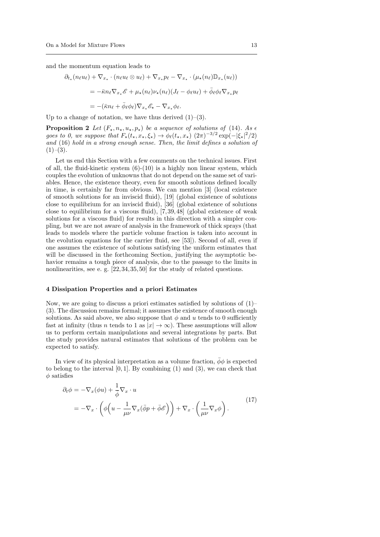and the momentum equation leads to

$$
\partial_{t_{\star}}(n_{\ell}u_{\ell}) + \nabla_{x_{\star}} \cdot (n_{\ell}u_{\ell} \otimes u_{\ell}) + \nabla_{x_{\star}} p_{\ell} - \nabla_{x_{\star}} \cdot (\mu_{\star}(n_{\ell}) \mathbb{D}_{x_{\star}}(u_{\ell}))
$$
\n
$$
= -\bar{\kappa}n_{\ell} \nabla_{x_{\star}} \mathcal{E} + \mu_{\star}(n_{\ell}) \nu_{\star}(n_{\ell}) (J_{\ell} - \phi_{\ell}u_{\ell}) + \bar{\phi}_{\ell} \phi_{\ell} \nabla_{x_{\star}} p_{\ell}
$$
\n
$$
= -(\bar{\kappa}n_{\ell} + \bar{\phi}_{\ell} \phi_{\ell}) \nabla_{x_{\star}} \mathcal{E}_{\star} - \nabla_{x_{\star}} \phi_{\ell}.
$$

Up to a change of notation, we have thus derived  $(1)$ – $(3)$ .

**Proposition 2** Let  $(F_{\star}, n_{\star}, u_{\star}, p_{\star})$  be a sequence of solutions of (14). As  $\epsilon$ goes to 0, we suppose that  $F_{\star}(t_{\star}, x_{\star}, \xi_{\star}) \to \phi_{\ell}(t_{\star}, x_{\star})$   $(2\pi)^{-3/2} \exp(-|\xi_{\star}|^2/2)$ and (16) hold in a strong enough sense. Then, the limit defines a solution of  $(1)–(3)$ .

Let us end this Section with a few comments on the technical issues. First of all, the fluid-kinetic system  $(6)-(10)$  is a highly non linear system, which couples the evolution of unknowns that do not depend on the same set of variables. Hence, the existence theory, even for smooth solutions defined locally in time, is certainly far from obvious. We can mention [3] (local existence of smooth solutions for an inviscid fluid), [19] (global existence of solutions close to equilibrium for an inviscid fluid), [36] (global existence of solutions close to equilibrium for a viscous fluid), [7, 39, 48] (global existence of weak solutions for a viscous fluid) for results in this direction with a simpler coupling, but we are not aware of analysis in the framework of thick sprays (that leads to models where the particle volume fraction is taken into account in the evolution equations for the carrier fluid, see [53]). Second of all, even if one assumes the existence of solutions satisfying the uniform estimates that will be discussed in the forthcoming Section, justifying the asymptotic behavior remains a tough piece of analysis, due to the passage to the limits in nonlinearities, see e. g.  $[22, 34, 35, 50]$  for the study of related questions.

#### 4 Dissipation Properties and a priori Estimates

Now, we are going to discuss a priori estimates satisfied by solutions of (1)– (3). The discussion remains formal; it assumes the existence of smooth enough solutions. As said above, we also suppose that  $\phi$  and u tends to 0 sufficiently fast at infinity (thus *n* tends to 1 as  $|x| \to \infty$ ). These assumptions will allow us to perform certain manipulations and several integrations by parts. But the study provides natural estimates that solutions of the problem can be expected to satisfy.

In view of its physical interpretation as a volume fraction,  $\bar{\phi}\phi$  is expected to belong to the interval  $[0, 1]$ . By combining  $(1)$  and  $(3)$ , we can check that  $\phi$  satisfies

$$
\partial_t \phi = -\nabla_x (\phi u) + \frac{1}{\overline{\phi}} \nabla_x \cdot u
$$
  
=  $-\nabla_x \cdot \left( \phi \left( u - \frac{1}{\mu \nu} \nabla_x (\overline{\phi} p + \overline{\phi} \mathscr{E}) \right) + \nabla_x \cdot \left( \frac{1}{\mu \nu} \nabla_x \phi \right).$  (17)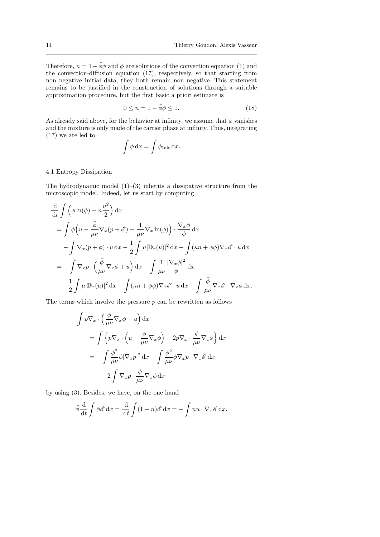Therefore,  $n = 1 - \bar{\phi}\phi$  and  $\phi$  are solutions of the convection equation (1) and the convection-diffusion equation (17), respectively, so that starting from non negative initial data, they both remain non negative. This statement remains to be justified in the construction of solutions through a suitable approximation procedure, but the first basic a priori estimate is

$$
0 \le n = 1 - \bar{\phi}\phi \le 1. \tag{18}
$$

As already said above, for the behavior at infinity, we assume that  $\phi$  vanishes and the mixture is only made of the carrier phase at infinity. Thus, integrating (17) we are led to

$$
\int \phi \, dx = \int \phi_{\text{Init}} \, dx.
$$

# 4.1 Entropy Dissipation

The hydrodynamic model  $(1)$ – $(3)$  inherits a dissipative structure from the microscopic model. Indeed, let us start by computing

$$
\frac{d}{dt} \int \left( \phi \ln(\phi) + n \frac{u^2}{2} \right) dx
$$
\n
$$
= \int \phi \left( u - \frac{\bar{\phi}}{\mu \nu} \nabla_x (p + \mathscr{E}) - \frac{1}{\mu \nu} \nabla_x \ln(\phi) \right) \cdot \frac{\nabla_x \phi}{\phi} dx
$$
\n
$$
- \int \nabla_x (p + \phi) \cdot u dx - \frac{1}{2} \int \mu |\mathbb{D}_x(u)|^2 dx - \int (\kappa n + \bar{\phi} \phi) \nabla_x \mathscr{E} \cdot u dx
$$
\n
$$
= - \int \nabla_x p \cdot \left( \frac{\bar{\phi}}{\mu \nu} \nabla_x \phi + u \right) dx - \int \frac{1}{\mu \nu} \frac{|\nabla_x \phi|^2}{\phi} dx
$$
\n
$$
- \frac{1}{2} \int \mu |\mathbb{D}_x(u)|^2 dx - \int (\kappa n + \bar{\phi} \phi) \nabla_x \mathscr{E} \cdot u dx - \int \frac{\bar{\phi}}{\mu \nu} \nabla_x \mathscr{E} \cdot \nabla_x \phi dx.
$$

The terms which involve the pressure  $p$  can be rewritten as follows

$$
\int p \nabla_x \cdot \left( \frac{\bar{\phi}}{\mu \nu} \nabla_x \phi + u \right) dx
$$
  
= 
$$
\int \left\{ p \nabla_x \cdot \left( u - \frac{\bar{\phi}}{\mu \nu} \nabla_x \phi \right) + 2p \nabla_x \cdot \frac{\bar{\phi}}{\mu \nu} \nabla_x \phi \right\} dx
$$
  
= 
$$
- \int \frac{\bar{\phi}^2}{\mu \nu} \phi |\nabla_x p|^2 dx - \int \frac{\bar{\phi}^2}{\mu \nu} \phi \nabla_x p \cdot \nabla_x \mathcal{E} dx
$$
  
- 
$$
- 2 \int \nabla_x p \cdot \frac{\bar{\phi}}{\mu \nu} \nabla_x \phi dx
$$

by using (3). Besides, we have, on the one hand

$$
\bar{\phi} \frac{\mathrm{d}}{\mathrm{d}t} \int \phi \mathscr{E} \, \mathrm{d}x = \frac{\mathrm{d}}{\mathrm{d}t} \int (1-n) \mathscr{E} \, \mathrm{d}x = - \int nu \cdot \nabla_x \mathscr{E} \, \mathrm{d}x.
$$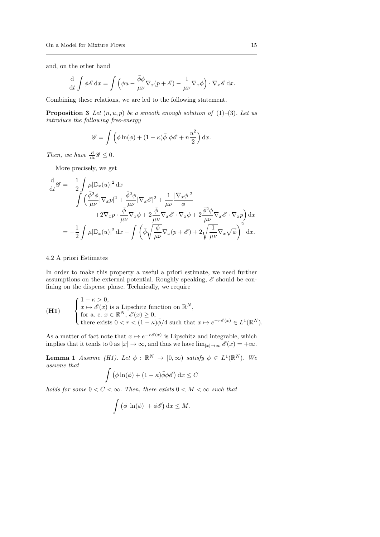and, on the other hand

$$
\frac{\mathrm{d}}{\mathrm{d}t} \int \phi \mathscr{E} \, \mathrm{d}x = \int \left( \phi u - \frac{\bar{\phi} \phi}{\mu \nu} \nabla_x (p + \mathscr{E}) - \frac{1}{\mu \nu} \nabla_x \phi \right) \cdot \nabla_x \mathscr{E} \, \mathrm{d}x.
$$

Combining these relations, we are led to the following statement.

**Proposition 3** Let  $(n, u, p)$  be a smooth enough solution of  $(1)$ – $(3)$ . Let us introduce the following free-energy

$$
\mathscr{G} = \int \left( \phi \ln(\phi) + (1 - \kappa) \bar{\phi} \, \phi \mathscr{E} + n \frac{u^2}{2} \right) dx.
$$

Then, we have  $\frac{d}{dt}\mathscr{G} \leq 0$ .

More precisely, we get

$$
\frac{\mathrm{d}}{\mathrm{d}t}\mathscr{G} = -\frac{1}{2} \int \mu |\mathbb{D}_x(u)|^2 \,\mathrm{d}x \n- \int \left(\frac{\bar{\phi}^2 \phi}{\mu \nu} |\nabla_x p|^2 + \frac{\bar{\phi}^2 \phi}{\mu \nu} |\nabla_x \mathscr{E}|^2 + \frac{1}{\mu \nu} \frac{|\nabla_x \phi|^2}{\phi} \n+ 2\nabla_x p \cdot \frac{\bar{\phi}}{\mu \nu} \nabla_x \phi + 2 \frac{\bar{\phi}}{\mu \nu} \nabla_x \mathscr{E} \cdot \nabla_x \phi + 2 \frac{\bar{\phi}^2 \phi}{\mu \nu} \nabla_x \mathscr{E} \cdot \nabla_x p \right) \,\mathrm{d}x \n= -\frac{1}{2} \int \mu |\mathbb{D}_x(u)|^2 \,\mathrm{d}x - \int \left(\bar{\phi} \sqrt{\frac{\phi}{\mu \nu}} \nabla_x (p + \mathscr{E}) + 2 \sqrt{\frac{1}{\mu \nu}} \nabla_x \sqrt{\phi}\right)^2 \,\mathrm{d}x.
$$

## 4.2 A priori Estimates

In order to make this property a useful a priori estimate, we need further assumptions on the external potential. Roughly speaking,  $\mathscr E$  should be confining on the disperse phase. Technically, we require

(H1) 
$$
\begin{cases} 1 - \kappa > 0, \\ x \mapsto \mathscr{E}(x) \text{ is a Lipschitz function on } \mathbb{R}^N, \\ \text{for a. e. } x \in \mathbb{R}^N, \, \mathscr{E}(x) \ge 0, \\ \text{there exists } 0 < r < (1 - \kappa)\overline{\phi}/4 \text{ such that } x \mapsto e^{-r\mathscr{E}(x)} \in L^1(\mathbb{R}^N). \end{cases}
$$

As a matter of fact note that  $x \mapsto e^{-r\mathscr{E}(x)}$  is Lipschitz and integrable, which implies that it tends to 0 as  $|x| \to \infty$ , and thus we have  $\lim_{|x| \to \infty} \mathscr{E}(x) = +\infty$ .

**Lemma 1** Assume (H1). Let  $\phi : \mathbb{R}^N \to [0, \infty)$  satisfy  $\phi \in L^1(\mathbb{R}^N)$ . We assume that

$$
\int (\phi \ln(\phi) + (1 - \kappa) \bar{\phi} \phi \mathscr{E}) \,dx \leq C
$$

holds for some  $0 < C < \infty$ . Then, there exists  $0 < M < \infty$  such that

$$
\int (\phi |\ln(\phi)| + \phi \mathscr{E}) \,dx \leq M.
$$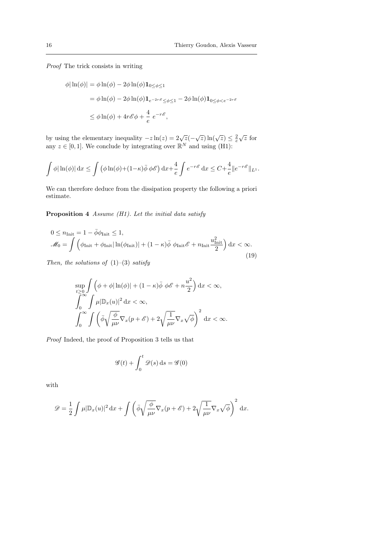Proof The trick consists in writing

$$
\phi|\ln(\phi)| = \phi \ln(\phi) - 2\phi \ln(\phi) \mathbf{1}_{0 \le \phi \le 1}
$$
  
=  $\phi \ln(\phi) - 2\phi \ln(\phi) \mathbf{1}_{e^{-2r\phi} \le \phi \le 1} - 2\phi \ln(\phi) \mathbf{1}_{0 \le \phi < e^{-2r\phi}}$   
 $\le \phi \ln(\phi) + 4r\mathscr{E}\phi + \frac{4}{e} e^{-r\mathscr{E}},$ 

by using the elementary inequality  $-z \ln(z) = 2\sqrt{z}(-\sqrt{z}) \ln(\sqrt{z}) \leq \frac{2}{e}$  $\sqrt{z}$  for any  $z \in [0, 1]$ . We conclude by integrating over  $\mathbb{R}^N$  and using (H1):

$$
\int \phi |\ln(\phi)| dx \le \int (\phi \ln(\phi) + (1 - \kappa) \bar{\phi} \phi \mathscr{E}) dx + \frac{4}{e} \int e^{-r\mathscr{E}} dx \le C + \frac{4}{e} ||e^{-r\mathscr{E}}||_{L^1}.
$$

We can therefore deduce from the dissipation property the following a priori estimate.

Proposition 4 Assume (H1). Let the initial data satisfy

$$
0 \le n_{\text{Init}} = 1 - \bar{\phi}\phi_{\text{Init}} \le 1,
$$
  

$$
\mathcal{M}_0 = \int \left( \phi_{\text{Init}} + \phi_{\text{Init}} |\ln(\phi_{\text{Init}})| + (1 - \kappa)\bar{\phi} \phi_{\text{Init}} \mathcal{E} + n_{\text{Init}} \frac{u_{\text{Init}}^2}{2} \right) dx < \infty.
$$
 (19)

Then, the solutions of  $(1)-(3)$  satisfy

$$
\sup_{t\geq 0} \int \left( \phi + \phi |\ln(\phi)| + (1 - \kappa) \bar{\phi} \, \phi \mathscr{E} + n \frac{u^2}{2} \right) dx < \infty,
$$
\n
$$
\int_0^\infty \int \mu |\mathbb{D}_x(u)|^2 \, dx < \infty,
$$
\n
$$
\int_0^\infty \int \left( \bar{\phi} \sqrt{\frac{\phi}{\mu \nu}} \nabla_x (p + \mathscr{E}) + 2 \sqrt{\frac{1}{\mu \nu}} \nabla_x \sqrt{\phi} \right)^2 \, dx < \infty.
$$

Proof Indeed, the proof of Proposition 3 tells us that

$$
\mathscr{G}(t) + \int_0^t \mathscr{D}(s) \, \mathrm{d}s = \mathscr{G}(0)
$$

with

$$
\mathscr{D} = \frac{1}{2} \int \mu |\mathbb{D}_x(u)|^2 \, \mathrm{d}x + \int \left( \bar{\phi} \sqrt{\frac{\phi}{\mu \nu}} \nabla_x (p + \mathscr{E}) + 2 \sqrt{\frac{1}{\mu \nu}} \nabla_x \sqrt{\phi} \right)^2 \, \mathrm{d}x.
$$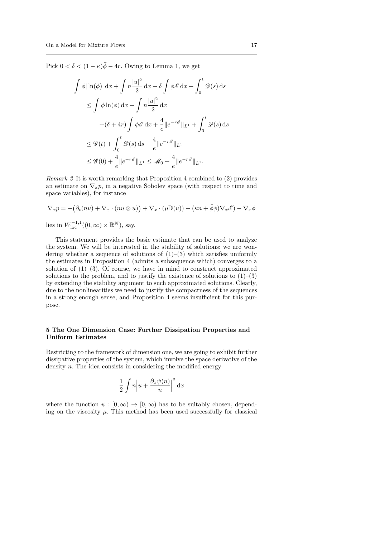Pick  $0 < \delta < (1 - \kappa)\overline{\phi} - 4r$ . Owing to Lemma 1, we get

$$
\int \phi |\ln(\phi)| \, dx + \int n \frac{|u|^2}{2} \, dx + \delta \int \phi \mathscr{E} \, dx + \int_0^t \mathscr{D}(s) \, ds
$$
  
\n
$$
\leq \int \phi \ln(\phi) \, dx + \int n \frac{|u|^2}{2} \, dx
$$
  
\n
$$
+(\delta + 4r) \int \phi \mathscr{E} \, dx + \frac{4}{e} \|e^{-r\mathscr{E}}\|_{L^1} + \int_0^t \mathscr{D}(s) \, ds
$$
  
\n
$$
\leq \mathscr{G}(t) + \int_0^t \mathscr{D}(s) \, ds + \frac{4}{e} \|e^{-r\mathscr{E}}\|_{L^1}
$$
  
\n
$$
\leq \mathscr{G}(0) + \frac{4}{e} \|e^{-r\mathscr{E}}\|_{L^1} \leq \mathscr{M}_0 + \frac{4}{e} \|e^{-r\mathscr{E}}\|_{L^1}.
$$

Remark 2 It is worth remarking that Proposition 4 combined to (2) provides an estimate on  $\nabla_x p$ , in a negative Sobolev space (with respect to time and space variables), for instance

$$
\nabla_x p = -(\partial_t (nu) + \nabla_x \cdot (nu \otimes u)) + \nabla_x \cdot (\mu \mathbb{D}(u)) - (\kappa n + \bar{\phi}\phi) \nabla_x \mathscr{E}) - \nabla_x \phi
$$

lies in  $W_{\text{loc}}^{-1,1}((0,\infty)\times\mathbb{R}^N)$ , say.

This statement provides the basic estimate that can be used to analyze the system. We will be interested in the stability of solutions: we are wondering whether a sequence of solutions of  $(1)$ – $(3)$  which satisfies uniformly the estimates in Proposition 4 (admits a subsequence which) converges to a solution of  $(1)$ – $(3)$ . Of course, we have in mind to construct approximated solutions to the problem, and to justify the existence of solutions to  $(1)$ – $(3)$ by extending the stability argument to such approximated solutions. Clearly, due to the nonlinearities we need to justify the compactness of the sequences in a strong enough sense, and Proposition 4 seems insufficient for this purpose.

# 5 The One Dimension Case: Further Dissipation Properties and Uniform Estimates

Restricting to the framework of dimension one, we are going to exhibit further dissipative properties of the system, which involve the space derivative of the density  $n$ . The idea consists in considering the modified energy

$$
\frac{1}{2} \int n \left| u + \frac{\partial_x \psi(n)}{n} \right|^2 \mathrm{d}x
$$

where the function  $\psi : [0, \infty) \to [0, \infty)$  has to be suitably chosen, depending on the viscosity  $\mu$ . This method has been used successfully for classical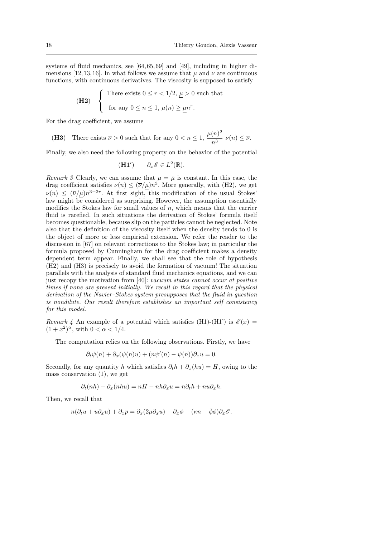systems of fluid mechanics, see [64, 65, 69] and [49], including in higher dimensions [12, 13, 16]. In what follows we assume that  $\mu$  and  $\nu$  are continuous functions, with continuous derivatives. The viscosity is supposed to satisfy

(H2) 
$$
\begin{cases} \text{There exists } 0 \le r < 1/2, \underline{\mu} > 0 \text{ such that} \\ \text{for any } 0 \le n \le 1, \mu(n) \ge \underline{\mu}n^r. \end{cases}
$$

For the drag coefficient, we assume

(H3) There exists  $\overline{\nu} > 0$  such that for any  $0 < n \leq 1$ ,  $\frac{\mu(n)^2}{3}$  $\frac{\nu^{(n)}}{n^3} \nu(n) \leq \overline{\nu}.$ 

Finally, we also need the following property on the behavior of the potential

(H1') 
$$
\partial_x \mathscr{E} \in L^2(\mathbb{R}).
$$

Remark 3 Clearly, we can assume that  $\mu = \bar{\mu}$  is constant. In this case, the drag coefficient satisfies  $\nu(n) \leq (\overline{\nu}/\mu)n^3$ . More generally, with (H2), we get  $\nu(n) \leq (\bar{\nu}/\mu)n^{3-2r}$ . At first sight, this modification of the usual Stokes' law might be considered as surprising. However, the assumption essentially modifies the Stokes law for small values of  $n$ , which means that the carrier fluid is rarefied. In such situations the derivation of Stokes' formula itself becomes questionable, because slip on the particles cannot be neglected. Note also that the definition of the viscosity itself when the density tends to 0 is the object of more or less empirical extension. We refer the reader to the discussion in [67] on relevant corrections to the Stokes law; in particular the formula proposed by Cunningham for the drag coefficient makes a density dependent term appear. Finally, we shall see that the role of hypothesis (H2) and (H3) is precisely to avoid the formation of vacuum! The situation parallels with the analysis of standard fluid mechanics equations, and we can just recopy the motivation from [40]: vacuum states cannot occur at positive times if none are present initially. We recall in this regard that the physical derivation of the Navier–Stokes system presupposes that the fluid in question is nondilute. Our result therefore establishes an important self consistency for this model.

Remark 4 An example of a potential which satisfies (H1)-(H1') is  $\mathscr{E}(x)$  =  $(1+x^2)^{\alpha}$ , with  $0 < \alpha < 1/4$ .

The computation relies on the following observations. Firstly, we have

$$
\partial_t \psi(n) + \partial_x(\psi(n)u) + (n\psi'(n) - \psi(n))\partial_x u = 0.
$$

Secondly, for any quantity h which satisfies  $\partial_t h + \partial_x(hu) = H$ , owing to the mass conservation (1), we get

$$
\partial_t(nh) + \partial_x(nhu) = nH - nh\partial_x u = n\partial_t h + nu\partial_x h.
$$

Then, we recall that

$$
n(\partial_t u + u \partial_x u) + \partial_x p = \partial_x (2\mu \partial_x u) - \partial_x \phi - (\kappa n + \bar{\phi}\phi)\partial_x \mathscr{E}.
$$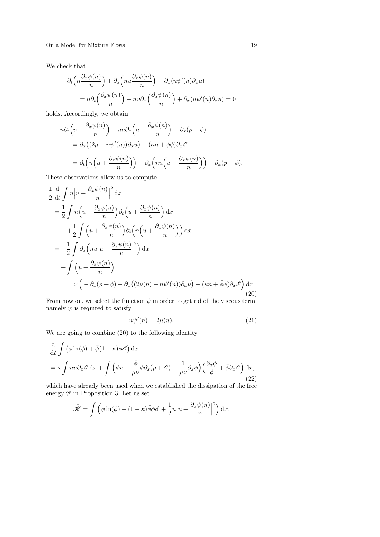We check that

$$
\partial_t \left( n \frac{\partial_x \psi(n)}{n} \right) + \partial_x \left( n u \frac{\partial_x \psi(n)}{n} \right) + \partial_x (n \psi'(n) \partial_x u)
$$
  
=  $n \partial_t \left( \frac{\partial_x \psi(n)}{n} \right) + n u \partial_x \left( \frac{\partial_x \psi(n)}{n} \right) + \partial_x (n \psi'(n) \partial_x u) = 0$ 

holds. Accordingly, we obtain

$$
n\partial_t \left( u + \frac{\partial_x \psi(n)}{n} \right) + nu\partial_x \left( u + \frac{\partial_x \psi(n)}{n} \right) + \partial_x (p + \phi)
$$
  
=  $\partial_x ((2\mu - n\psi'(n))\partial_x u) - (\kappa n + \bar{\phi}\phi)\partial_x \mathscr{E}$   
=  $\partial_t \left( n \left( u + \frac{\partial_x \psi(n)}{n} \right) \right) + \partial_x \left( nu \left( u + \frac{\partial_x \psi(n)}{n} \right) \right) + \partial_x (p + \phi).$ 

These observations allow us to compute

$$
\frac{1}{2} \frac{d}{dt} \int n \left| u + \frac{\partial_x \psi(n)}{n} \right|^2 dx
$$
\n
$$
= \frac{1}{2} \int n \left( u + \frac{\partial_x \psi(n)}{n} \right) \partial_t \left( u + \frac{\partial_x \psi(n)}{n} \right) dx
$$
\n
$$
+ \frac{1}{2} \int \left( u + \frac{\partial_x \psi(n)}{n} \right) \partial_t \left( n \left( u + \frac{\partial_x \psi(n)}{n} \right) \right) dx
$$
\n
$$
= -\frac{1}{2} \int \partial_x \left( n u \left| u + \frac{\partial_x \psi(n)}{n} \right|^2 \right) dx
$$
\n
$$
+ \int \left( u + \frac{\partial_x \psi(n)}{n} \right)
$$
\n
$$
\times \left( - \partial_x (p + \phi) + \partial_x \left( (2\mu(n) - n\psi'(n)) \partial_x u \right) - (\kappa n + \bar{\phi} \phi) \partial_x \mathcal{E} \right) dx.
$$
\n(20)

From now on, we select the function  $\psi$  in order to get rid of the viscous term; namely  $\psi$  is required to satisfy

$$
n\psi'(n) = 2\mu(n). \tag{21}
$$

We are going to combine (20) to the following identity

$$
\frac{\mathrm{d}}{\mathrm{d}t} \int \left( \phi \ln(\phi) + \bar{\phi} (1 - \kappa) \phi \mathcal{E} \right) \mathrm{d}x \n= \kappa \int n u \partial_x \mathcal{E} \, \mathrm{d}x + \int \left( \phi u - \frac{\bar{\phi}}{\mu \nu} \phi \partial_x (p + \mathcal{E}) - \frac{1}{\mu \nu} \partial_x \phi \right) \left( \frac{\partial_x \phi}{\phi} + \bar{\phi} \partial_x \mathcal{E} \right) \mathrm{d}x,
$$
\n(22)

which have already been used when we established the dissipation of the free energy  ${\mathscr G}$  in Proposition 3. Let us set

$$
\widetilde{\mathcal{H}} = \int \left( \phi \ln(\phi) + (1 - \kappa) \bar{\phi} \phi \mathcal{E} + \frac{1}{2} n \left| u + \frac{\partial_x \psi(n)}{n} \right|^2 \right) dx.
$$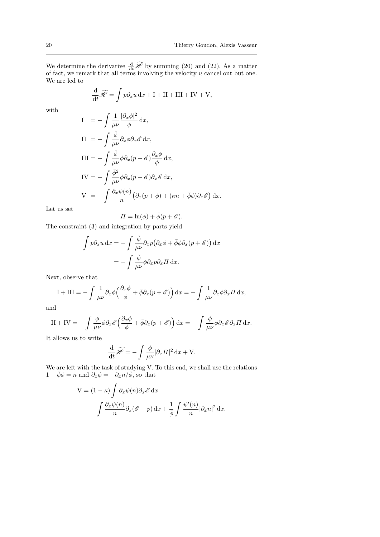We determine the derivative  $\frac{d}{dt} \mathcal{H}$  by summing (20) and (22). As a matter of fact, we remark that all terms involving the velocity u cancel out but one. We are led to

$$
\frac{\mathrm{d}}{\mathrm{d}t}\widetilde{\mathscr{H}} = \int p\partial_x u \,\mathrm{d}x + \mathrm{I} + \mathrm{II} + \mathrm{III} + \mathrm{IV} + \mathrm{V},
$$

with

$$
I = -\int \frac{1}{\mu\nu} \frac{|\partial_x \phi|^2}{\phi} dx,
$$
  
\n
$$
II = -\int \frac{\bar{\phi}}{\mu\nu} \partial_x \phi \partial_x \mathcal{E} dx,
$$
  
\n
$$
III = -\int \frac{\bar{\phi}}{\mu\nu} \phi \partial_x (p + \mathcal{E}) \frac{\partial_x \phi}{\phi} dx,
$$
  
\n
$$
IV = -\int \frac{\bar{\phi}^2}{\mu\nu} \phi \partial_x (p + \mathcal{E}) \partial_x \mathcal{E} dx,
$$
  
\n
$$
V = -\int \frac{\partial_x \psi(n)}{n} (\partial_x (p + \phi) + (\kappa n + \bar{\phi} \phi) \partial_x \mathcal{E}) dx.
$$

Let us set

$$
\Pi = \ln(\phi) + \bar{\phi}(p + \mathscr{E}).
$$

The constraint (3) and integration by parts yield

$$
\int p \partial_x u \, dx = - \int \frac{\bar{\phi}}{\mu \nu} \partial_x p \big( \partial_x \phi + \bar{\phi} \phi \partial_x (p + \mathscr{E}) \big) \, dx
$$

$$
= - \int \frac{\bar{\phi}}{\mu \nu} \phi \partial_x p \partial_x \Pi \, dx.
$$

Next, observe that

$$
I + III = -\int \frac{1}{\mu\nu} \partial_x \phi \left( \frac{\partial_x \phi}{\phi} + \bar{\phi} \partial_x (p + \mathscr{E}) \right) dx = -\int \frac{1}{\mu\nu} \partial_x \phi \partial_x \Pi dx,
$$

and

$$
II + IV = -\int \frac{\bar{\phi}}{\mu \nu} \phi \partial_x \mathscr{E} \left( \frac{\partial_x \phi}{\phi} + \bar{\phi} \partial_x (p + \mathscr{E}) \right) dx = -\int \frac{\bar{\phi}}{\mu \nu} \phi \partial_x \mathscr{E} \partial_x \Pi dx.
$$

It allows us to write

$$
\frac{\mathrm{d}}{\mathrm{d}t}\widetilde{\mathscr{H}} = -\int \frac{\phi}{\mu\nu} |\partial_x \varPi|^2 \,\mathrm{d}x + \mathrm{V}.
$$

We are left with the task of studying V. To this end, we shall use the relations  $1 - \bar{\phi}\phi = n$  and  $\partial_x \phi = -\partial_x n/\bar{\phi}$ , so that

$$
V = (1 - \kappa) \int \partial_x \psi(n) \partial_x \mathcal{E} dx
$$

$$
- \int \frac{\partial_x \psi(n)}{n} \partial_x (\mathcal{E} + p) dx + \frac{1}{\phi} \int \frac{\psi'(n)}{n} |\partial_x n|^2 dx.
$$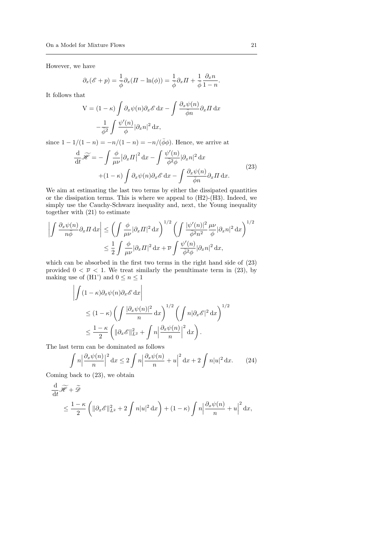However, we have

$$
\partial_x(\mathscr{E} + p) = \frac{1}{\overline{\phi}} \partial_x (H - \ln(\phi)) = \frac{1}{\overline{\phi}} \partial_x H + \frac{1}{\overline{\phi}} \frac{\partial_x n}{1 - n}.
$$

It follows that

$$
V = (1 - \kappa) \int \partial_x \psi(n) \partial_x \mathcal{E} dx - \int \frac{\partial_x \psi(n)}{\overline{\phi}n} \partial_x \Pi dx
$$

$$
- \frac{1}{\overline{\phi}^2} \int \frac{\psi'(n)}{\phi} |\partial_x n|^2 dx,
$$

since  $1 - 1/(1 - n) = -n/(1 - n) = -n/(\bar{\phi}\phi)$ . Hence, we arrive at

$$
\frac{\mathrm{d}}{\mathrm{d}t}\widetilde{\mathscr{H}} = -\int \frac{\phi}{\mu\nu} |\partial_x \Pi|^2 \,\mathrm{d}x - \int \frac{\psi'(n)}{\bar{\phi}^2 \phi} |\partial_x n|^2 \,\mathrm{d}x \n+ (1 - \kappa) \int \partial_x \psi(n) \partial_x \mathscr{E} \,\mathrm{d}x - \int \frac{\partial_x \psi(n)}{\bar{\phi}n} \partial_x \Pi \,\mathrm{d}x.
$$
\n(23)

We aim at estimating the last two terms by either the dissipated quantities or the dissipation terms. This is where we appeal to (H2)-(H3). Indeed, we simply use the Cauchy-Schwarz inequality and, next, the Young inequality together with (21) to estimate

$$
\left| \int \frac{\partial_x \psi(n)}{n\bar{\phi}} \partial_x \Pi \, dx \right| \le \left( \int \frac{\phi}{\mu \nu} |\partial_x \Pi|^2 \, dx \right)^{1/2} \left( \int \frac{|\psi'(n)|^2}{\bar{\phi}^2 n^2} \frac{\mu \nu}{\phi} |\partial_x n|^2 \, dx \right)^{1/2}
$$

$$
\le \frac{1}{2} \int \frac{\phi}{\mu \nu} |\partial_x \Pi|^2 \, dx + \overline{\nu} \int \frac{\psi'(n)}{\bar{\phi}^2 \phi} |\partial_x n|^2 \, dx,
$$

which can be absorbed in the first two terms in the right hand side of (23) provided  $0 < \overline{\nu} < 1$ . We treat similarly the penultimate term in (23), by making use of (H1') and  $0 \le n \le 1$ 

$$
\left| \int (1 - \kappa) \partial_x \psi(n) \partial_x \mathscr{E} \, dx \right|
$$
  
\n
$$
\leq (1 - \kappa) \left( \int \frac{|\partial_x \psi(n)|^2}{n} dx \right)^{1/2} \left( \int n |\partial_x \mathscr{E}|^2 dx \right)^{1/2}
$$
  
\n
$$
\leq \frac{1 - \kappa}{2} \left( \| \partial_x \mathscr{E} \|_{L^2}^2 + \int n \left| \frac{\partial_x \psi(n)}{n} \right|^2 dx \right).
$$

The last term can be dominated as follows

$$
\int n \left| \frac{\partial x \psi(n)}{n} \right|^2 \mathrm{d}x \le 2 \int n \left| \frac{\partial x \psi(n)}{n} + u \right|^2 \mathrm{d}x + 2 \int n |u|^2 \mathrm{d}x. \tag{24}
$$

Coming back to (23), we obtain

$$
\frac{\mathrm{d}}{\mathrm{d}t}\widetilde{\mathscr{H}} + \widetilde{\mathscr{D}}
$$
\n
$$
\leq \frac{1-\kappa}{2} \left( \|\partial_x \mathscr{E}\|_{L^2}^2 + 2 \int n|u|^2 \,\mathrm{d}x \right) + (1-\kappa) \int n \left| \frac{\partial_x \psi(n)}{n} + u \right|^2 \,\mathrm{d}x,
$$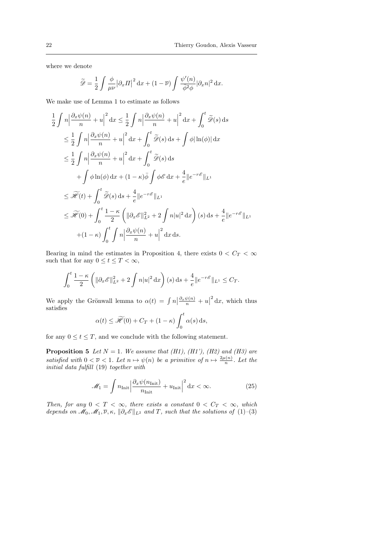where we denote

$$
\widetilde{\mathscr{D}} = \frac{1}{2} \int \frac{\phi}{\mu \nu} \left| \partial_x \Pi \right|^2 \mathrm{d}x + (1 - \overline{\nu}) \int \frac{\psi'(n)}{\overline{\phi}^2 \phi} \left| \partial_x n \right|^2 \mathrm{d}x.
$$

We make use of Lemma 1 to estimate as follows

$$
\frac{1}{2} \int n \left| \frac{\partial_x \psi(n)}{n} + u \right|^2 dx \le \frac{1}{2} \int n \left| \frac{\partial_x \psi(n)}{n} + u \right|^2 dx + \int_0^t \widetilde{\mathscr{D}}(s) ds
$$
  
\n
$$
\le \frac{1}{2} \int n \left| \frac{\partial_x \psi(n)}{n} + u \right|^2 dx + \int_0^t \widetilde{\mathscr{D}}(s) ds + \int \phi |\ln(\phi)| dx
$$
  
\n
$$
\le \frac{1}{2} \int n \left| \frac{\partial_x \psi(n)}{n} + u \right|^2 dx + \int_0^t \widetilde{\mathscr{D}}(s) ds
$$
  
\n
$$
+ \int \phi \ln(\phi) dx + (1 - \kappa) \overline{\phi} \int \phi \mathscr{E} dx + \frac{4}{e} \| e^{-r\mathscr{E}} \|_{L^1}
$$
  
\n
$$
\le \widetilde{\mathscr{H}}(t) + \int_0^t \widetilde{\mathscr{D}}(s) ds + \frac{4}{e} \| e^{-r\mathscr{E}} \|_{L^1}
$$
  
\n
$$
\le \widetilde{\mathscr{H}}(0) + \int_0^t \frac{1 - \kappa}{2} \left( \| \partial_x \mathscr{E} \|^2_{L^2} + 2 \int n |u|^2 dx \right) (s) ds + \frac{4}{e} \| e^{-r\mathscr{E}} \|_{L^1}
$$
  
\n
$$
+ (1 - \kappa) \int_0^t \int n \left| \frac{\partial_x \psi(n)}{n} + u \right|^2 dx ds.
$$

Bearing in mind the estimates in Proposition 4, there exists  $0 < C_T < \infty$ such that for any  $0 \le t \le T < \infty$ ,

$$
\int_0^t \frac{1-\kappa}{2} \left( \| \partial_x \mathscr{E} \|_{L^2}^2 + 2 \int n|u|^2 \, \mathrm{d}x \right)(s) \, \mathrm{d}s + \frac{4}{e} \| e^{-r\mathscr{E}} \|_{L^1} \leq C_T.
$$

We apply the Grönwall lemma to  $\alpha(t) = \int n \left| \frac{\partial_x \psi(n)}{n} + u \right|$  $^{2}$  dx, which thus satisfies

$$
\alpha(t) \le \widetilde{\mathcal{H}}(0) + C_T + (1 - \kappa) \int_0^t \alpha(s) \, \mathrm{d}s,
$$

for any  $0 \le t \le T$ , and we conclude with the following statement.

**Proposition 5** Let  $N = 1$ . We assume that (H1), (H1'), (H2) and (H3) are satisfied with  $0 < \overline{\nu} < 1$ . Let  $n \mapsto \psi(n)$  be a primitive of  $n \mapsto \frac{2\mu(n)}{n}$ . Let the initial data fulfill (19) together with

$$
\mathcal{M}_1 = \int n_{\text{Init}} \left| \frac{\partial_x \psi(n_{\text{Init}})}{n_{\text{Init}}} + u_{\text{Init}} \right|^2 \, \mathrm{d}x < \infty. \tag{25}
$$

Then, for any  $0 < T < \infty$ , there exists a constant  $0 < C_T < \infty$ , which depends on  $\mathcal{M}_0, \mathcal{M}_1, \overline{\nu}, \kappa, \|\partial_x \mathcal{E}\|_{L^2}$  and T, such that the solutions of  $(1)-(3)$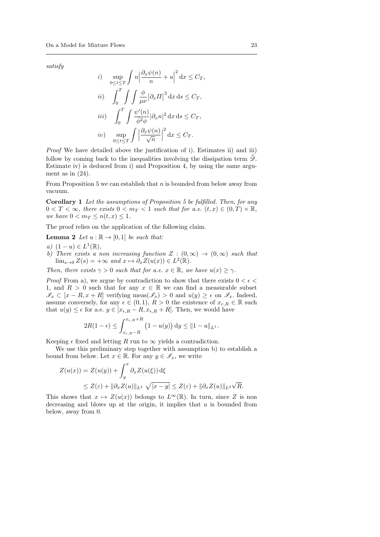satisfy

*i*) 
$$
\sup_{0 \le t \le T} \int n \left| \frac{\partial_x \psi(n)}{n} + u \right|^2 dx \le C_T,
$$
  
\n*ii*) 
$$
\int_0^T \int \int \frac{\phi}{\mu \nu} |\partial_x \Pi|^2 dx ds \le C_T,
$$
  
\n*iii*) 
$$
\int_0^T \int \frac{\psi'(n)}{\overline{\phi^2 \phi}} |\partial_x n|^2 dx ds \le C_T,
$$
  
\n*iv*) 
$$
\sup_{0 \le t \le T} \int \left| \frac{\partial_x \psi(n)}{\sqrt{n}} \right|^2 dx \le C_T.
$$

Proof We have detailed above the justification of i). Estimates ii) and iii) follow by coming back to the inequalities involving the dissipation term  $\mathscr{D}$ . Estimate iv) is deduced from i) and Proposition 4, by using the same argument as in  $(24)$ .

From Proposition 5 we can establish that  $n$  is bounded from below away from vacuum.

Corollary 1 Let the assumptions of Proposition 5 be fulfilled. Then, for any  $0 < T < \infty$ , there exists  $0 < m_T < 1$  such that for a.e.  $(t, x) \in (0, T) \times \mathbb{R}$ , we have  $0 < m_T \le n(t, x) \le 1$ .

The proof relies on the application of the following claim.

**Lemma 2** Let  $u : \mathbb{R} \to [0,1]$  be such that:

- a)  $(1 u) \in L^1(\mathbb{R}),$
- b) There exists a non increasing function  $Z : (0, \infty) \to (0, \infty)$  such that  $\lim_{s\to 0} Z(s) = +\infty$  and  $x \mapsto \partial_x Z(u(x)) \in L^2(\mathbb{R}).$

Then, there exists  $\gamma > 0$  such that for a.e.  $x \in \mathbb{R}$ , we have  $u(x) > \gamma$ .

*Proof* From a), we argue by contradiction to show that there exists  $0 < \epsilon <$ 1, and  $R > 0$  such that for any  $x \in \mathbb{R}$  we can find a measurable subset  $\mathscr{I}_x \subset [x - R, x + R]$  verifying meas $(\mathscr{I}_x) > 0$  and  $u(y) \geq \epsilon$  on  $\mathscr{I}_x$ . Indeed, assume conversely, for any  $\epsilon \in (0,1)$ ,  $R > 0$  the existence of  $x_{\epsilon,R} \in \mathbb{R}$  such that  $u(y) \leq \epsilon$  for a.e.  $y \in [x_{\epsilon,R} - R, x_{\epsilon,R} + R]$ . Then, we would have

$$
2R(1-\epsilon) \leq \int_{x_{\epsilon,R}-R}^{x_{\epsilon,R}+R} \left(1-u(y)\right) \mathrm{d}y \leq \|1-u\|_{L^1}.
$$

Keeping  $\epsilon$  fixed and letting R run to  $\infty$  yields a contradiction.

We use this preliminary step together with assumption b) to establish a bound from below. Let  $x \in \mathbb{R}$ . For any  $y \in \mathscr{I}_x$ , we write

$$
Z(u(x)) = Z(u(y)) + \int_y^x \partial_x Z(u(\xi)) d\xi
$$
  
 
$$
\leq Z(\varepsilon) + ||\partial_x Z(u)||_{L^2} \sqrt{|x - y|} \leq Z(\varepsilon) + ||\partial_x Z(u)||_{L^2} \sqrt{R}.
$$

This shows that  $x \mapsto Z(u(x))$  belongs to  $L^{\infty}(\mathbb{R})$ . In turn, since Z is non decreasing and blows up at the origin, it implies that  $u$  is bounded from below, away from 0.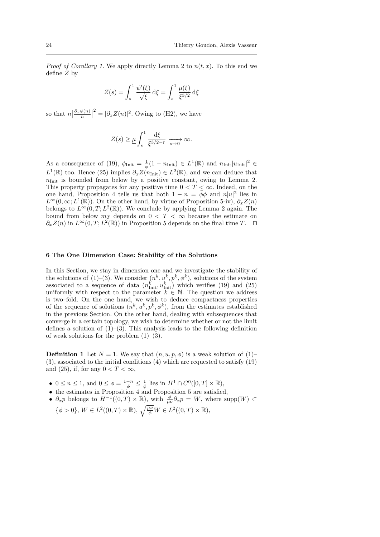*Proof of Corollary 1.* We apply directly Lemma 2 to  $n(t, x)$ . To this end we define Z by

$$
Z(s) = \int_s^1 \frac{\psi'(\xi)}{\sqrt{\xi}} d\xi = \int_s^1 \frac{\mu(\xi)}{\xi^{3/2}} d\xi
$$

so that  $n \left| \frac{\partial_x \psi(n)}{n} \right|$  $2^2 = |\partial_x Z(n)|^2$ . Owing to (H2), we have

$$
Z(s) \ge \underline{\mu} \int_s^1 \frac{\mathrm{d}\xi}{\xi^{3/2-r}} \xrightarrow[s \to 0]{} \infty.
$$

As a consequence of (19),  $\phi_{\text{Init}} = \frac{1}{\phi}(1 - n_{\text{Init}}) \in L^1(\mathbb{R})$  and  $n_{\text{Init}}|u_{\text{Init}}|^2 \in$  $L^1(\mathbb{R})$  too. Hence (25) implies  $\partial_x Z(n_{\text{Init}}) \in L^2(\mathbb{R})$ , and we can deduce that  $n_{\text{Init}}$  is bounded from below by a positive constant, owing to Lemma 2. This property propagates for any positive time  $0 < T < \infty$ . Indeed, on the one hand, Proposition 4 tells us that both  $1 - n = \bar{\phi}\phi$  and  $n|u|^2$  lies in  $L^{\infty}(0,\infty; L^{1}(\mathbb{R}))$ . On the other hand, by virtue of Proposition 5-iv),  $\partial_{x}Z(n)$ belongs to  $L^{\infty}(0,T; L^2(\mathbb{R}))$ . We conclude by applying Lemma 2 again. The bound from below  $m<sub>T</sub>$  depends on  $0 < T < \infty$  because the estimate on  $\partial_x Z(n)$  in  $L^{\infty}(0,T; L^2(\mathbb{R}))$  in Proposition 5 depends on the final time T.  $\Box$ 

#### 6 The One Dimension Case: Stability of the Solutions

In this Section, we stay in dimension one and we investigate the stability of the solutions of (1)–(3). We consider  $(n^k, u^k, p^k, \phi^k)$ , solutions of the system associated to a sequence of data  $(n_{\text{Init}}^k, u_{\text{Init}}^k)$  which verifies (19) and (25) uniformly with respect to the parameter  $k \in \mathbb{N}$ . The question we address is two–fold. On the one hand, we wish to deduce compactness properties of the sequence of solutions  $(n^k, u^k, p^k, \phi^k)$ , from the estimates established in the previous Section. On the other hand, dealing with subsequences that converge in a certain topology, we wish to determine whether or not the limit defines a solution of  $(1)$ – $(3)$ . This analysis leads to the following definition of weak solutions for the problem  $(1)$ – $(3)$ .

**Definition 1** Let  $N = 1$ . We say that  $(n, u, p, \phi)$  is a weak solution of  $(1)$ – (3), associated to the initial conditions (4) which are requested to satisfy (19) and (25), if, for any  $0 < T < \infty$ ,

- $0 \le n \le 1$ , and  $0 \le \phi = \frac{1-n}{\phi} \le \frac{1}{\phi}$  lies in  $H^1 \cap C^0([0,T] \times \mathbb{R})$ ,
- the estimates in Proposition 4 and Proposition 5 are satisfied,
- $\partial_x p$  belongs to  $H^{-1}((0,T)\times\mathbb{R})$ , with  $\frac{\phi}{\mu\nu}\partial_x p = W$ , where supp $(W) \subset$  $\{\phi > 0\}, W \in L^2((0,T) \times \mathbb{R}), \sqrt{\frac{\mu \nu}{\phi}} W \in L^2((0,T) \times \mathbb{R}),$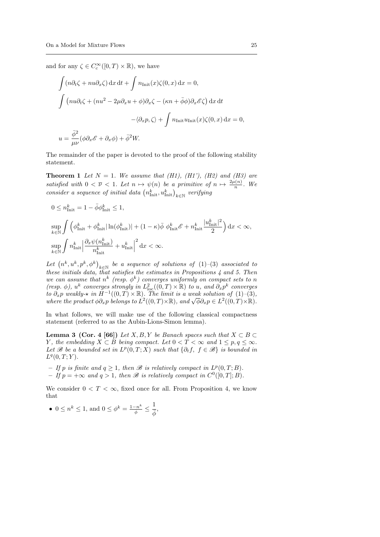and for any  $\zeta \in C_c^{\infty}([0, T) \times \mathbb{R})$ , we have

$$
\int (n\partial_t \zeta + nu\partial_x \zeta) dx dt + \int n_{\text{Init}}(x)\zeta(0, x) dx = 0,
$$
  

$$
\int (nu\partial_t \zeta + (nu^2 - 2\mu \partial_x u + \phi)\partial_x \zeta - (\kappa n + \bar{\phi}\phi)\partial_x \mathscr{E}\zeta) dx dt
$$
  

$$
-\langle \partial_x p, \zeta \rangle + \int n_{\text{Init}}(x)\zeta(0, x) dx = 0,
$$
  

$$
u = \frac{\bar{\phi}^2}{\mu\nu}(\phi \partial_x \mathscr{E} + \partial_x \phi) + \bar{\phi}^2 W.
$$

The remainder of the paper is devoted to the proof of the following stability statement.

**Theorem 1** Let  $N = 1$ . We assume that (H1), (H1'), (H2) and (H3) are satisfied with  $0 < \overline{\nu} < 1$ . Let  $n \mapsto \psi(n)$  be a primitive of  $n \mapsto \frac{2\mu(n)}{n}$ . We consider a sequence of initial data  $\left(n_{\text{Init}}^k, u_{\text{Init}}^k\right)_{k \in \mathbb{N}}$  verifying

$$
0 \le n_{\text{Init}}^k = 1 - \bar{\phi} \phi_{\text{Init}}^k \le 1,
$$

$$
\label{eq:4.1} \begin{split} &\underset{k\in\mathbb{N}}{\sup}\int\Big(\phi_{\rm{Init}}^k+\phi_{\rm{Init}}^k|\ln(\phi_{\rm{Init}}^k)|+(1-\kappa)\bar{\phi}\,\,\phi_{\rm{Init}}^k\mathscr{E}+n_{\rm{Init}}^k\frac{|u_{\rm{Init}}^k|^2}{2}\Big)\,\mathrm{d}x<\infty,\\ &\underset{k\in\mathbb{N}}{\sup}\int n_{\rm{Init}}^k\Big|\frac{\partial_x\psi(n_{\rm{Init}}^k)}{n_{\rm{Init}}^k}+u_{\rm{Init}}^k\Big|^2\,\mathrm{d}x<\infty. \end{split}
$$

Let  $(n^k, u^k, p^k, \phi^k)_{k \in \mathbb{N}}$  be a sequence of solutions of  $(1)$ – $(3)$  associated to these initials data, that satisfies the estimates in Propositions  $\frac{1}{4}$  and 5. Then we can assume that  $n^k$  (resp.  $\phi^k$ ) converges uniformly on compact sets to n (resp.  $\phi$ ),  $u^k$  converges strongly in  $L^2_{\text{loc}}((0,T)\times\mathbb{R})$  to u, and  $\partial_x p^k$  converges to  $\partial_x p$  weakly- $\star$  in  $H^{-1}((0,T) \times \mathbb{R})$ . The limit is a weak solution of  $(1)$ - $(3)$ , to  $\sigma_x p$  weakly- $\star$  in  $H^{-1}(0,1) \times \mathbb{R}$ ). The limit is a weak solution of  $(1)$ -(3),<br>where the product  $\phi \partial_x p$  belongs to  $L^2((0,T) \times \mathbb{R})$ , and  $\sqrt{\phi} \partial_x p \in L^2((0,T) \times \mathbb{R})$ .

In what follows, we will make use of the following classical compactness statement (referred to as the Aubin-Lions-Simon lemma).

**Lemma 3 (Cor. 4 [66])** Let  $X, B, Y$  be Banach spaces such that  $X \subset B \subset Y$ Y, the embedding  $X \subset B$  being compact. Let  $0 < T < \infty$  and  $1 \leq p, q \leq \infty$ . Let B be a bounded set in  $L^p(0,T;X)$  such that  $\{\partial_t f, f \in \mathcal{B}\}\)$  is bounded in  $L^{q}(0,T;Y).$ 

- $-If p$  is finite and  $q \geq 1$ , then  $\mathscr B$  is relatively compact in  $L^p(0,T;B)$ .
- $-If p = +\infty$  and  $q > 1$ , then B is relatively compact in  $C^0([0, T]; B)$ .

We consider  $0 < T < \infty$ , fixed once for all. From Proposition 4, we know that

• 
$$
0 \le n^k \le 1
$$
, and  $0 \le \phi^k = \frac{1 - n^k}{\overline{\phi}} \le \frac{1}{\overline{\phi}}$ ,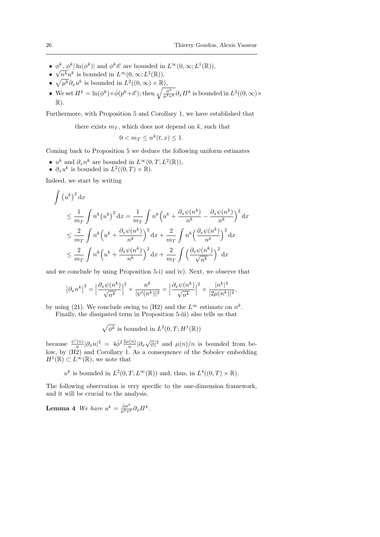- $\phi^k, \phi^k |\ln(\phi^k)|$  and  $\phi^k \mathscr{E}$  are bounded in  $L^{\infty}(0, \infty; L^1(\mathbb{R}))$ ,
- $\sqrt{n^k}u^k$  is bounded in  $L^{\infty}(0,\infty; L^2(\mathbb{R}))$ ,
- $\sqrt{\mu^k} \partial_x u^k$  is bounded in  $L^2((0,\infty) \times \mathbb{R})$ ,
- We set  $\Pi^k = \ln(\phi^k) + \bar{\phi}(p^k + \mathscr{E})$ ; then  $\sqrt{\frac{\phi^k}{\mu^k \nu^k}} \partial_x \Pi^k$  is bounded in  $L^2((0, \infty) \times$  $\mathbb{R}$ ).

Furthermore, with Proposition 5 and Corollary 1, we have established that

there exists  $m<sub>T</sub>$ , which does not depend on k, such that

$$
0 < m \le n^k(t, x) \le 1.
$$

Coming back to Proposition 5 we deduce the following uniform estimates

- $u^k$  and  $\partial_x n^k$  are bounded in  $L^{\infty}(0,T; L^2(\mathbb{R}))$ ,
- $\partial_x u^k$  is bounded in  $L^2((0,T)\times \mathbb{R})$ .

Indeed, we start by writing

$$
\int (u^k)^2 dx
$$
\n
$$
\leq \frac{1}{m_T} \int n^k (u^k)^2 dx = \frac{1}{m_T} \int n^k (u^k + \frac{\partial_x \psi(n^k)}{n^k} - \frac{\partial_x \psi(n^k)}{n^k})^2 dx
$$
\n
$$
\leq \frac{2}{m_T} \int n^k (u^k + \frac{\partial_x \psi(n^k)}{n^k})^2 dx + \frac{2}{m_T} \int n^k (\frac{\partial_x \psi(n^k)}{n^k})^2 dx
$$
\n
$$
\leq \frac{2}{m_T} \int n^k (u^k + \frac{\partial_x \psi(n^k)}{n^k})^2 dx + \frac{2}{m_T} \int (\frac{\partial_x \psi(n^k)}{\sqrt{n^k}})^2 dx
$$

and we conclude by using Proposition 5-i) and iv). Next, we observe that

$$
\left|\partial_x n^k\right|^2=\Big|\frac{\partial_x\psi(n^k)}{\sqrt{n^k}}\Big|^2\times \frac{n^k}{|\psi'(n^k)|^2}=\Big|\frac{\partial_x\psi(n^k)}{\sqrt{n^k}}\Big|^2\times \frac{|n^k|^3}{|2\mu(n^k)|^2},
$$

by using (21). We conclude owing to (H2) and the  $L^{\infty}$  estimate on  $n^{k}$ .

Finally, the dissipated term in Proposition 5-iii) also tells us that

$$
\sqrt{\phi^k}
$$
 is bounded in  $L^2(0,T;H^1(\mathbb{R}))$ 

because  $\frac{\psi'(n)}{\phi}$  $\frac{d(n)}{\phi}|\partial_x n|^2 = 4\bar{\phi}^2 \frac{2\mu(n)}{n}|\partial_x \sqrt{\phi}|^2$  and  $\mu(n)/n$  is bounded from below, by (H2) and Corollary 1. As a consequence of the Sobolev embedding  $H^1(\mathbb{R}) \subset L^{\infty}(\mathbb{R})$ , we note that

$$
u^k
$$
 is bounded in  $L^2(0,T; L^{\infty}(\mathbb{R}))$  and, thus, in  $L^4((0,T) \times \mathbb{R})$ .

The following observation is very specific to the one-dimension framework, and it will be crucial to the analysis.

**Lemma 4** We have  $u^k = \frac{\bar{\phi} \phi^k}{\mu^k \nu^k} \partial_x \Pi^k$ .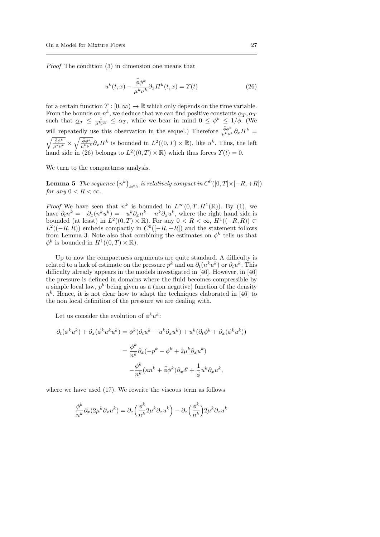Proof The condition (3) in dimension one means that

$$
u^{k}(t,x) - \frac{\bar{\phi}\phi^{k}}{\mu^{k}\nu^{k}}\partial_{x}\Pi^{k}(t,x) = \Upsilon(t)
$$
\n(26)

for a certain function  $\Upsilon : [0, \infty) \to \mathbb{R}$  which only depends on the time variable. From the bounds on  $n^k$ , we deduce that we can find positive constants  $\underline{\alpha}_T, \overline{\alpha}_T$ such that  $\underline{\alpha}_T \leq \frac{1}{\mu^k \nu^k} \leq \overline{\alpha}_T$ , while we bear in mind  $0 \leq \phi^k \leq 1/\overline{\phi}$ . (We will repeatedly use this observation in the sequel.) Therefore  $\frac{\bar{\phi}\phi^k}{\mu^k\nu^k}\partial_x\Pi^k =$  $\sqrt{\frac{\bar{\phi}\phi^k}{\mu^k\nu^k}} \times \sqrt{\frac{\bar{\phi}\phi^k}{\mu^k\nu^k}} \partial_x \Pi^k$  is bounded in  $L^2((0,T) \times \mathbb{R})$ , like  $u^k$ . Thus, the left hand side in (26) belongs to  $L^2((0,T)\times\mathbb{R})$  which thus forces  $\Upsilon(t)=0$ .

We turn to the compactness analysis.

**Lemma 5** The sequence  $(n^k)_{k \in \mathbb{N}}$  is relatively compact in  $C^0([0, T] \times [-R, +R])$ for any  $0 < R < \infty$ .

*Proof* We have seen that  $n^k$  is bounded in  $L^{\infty}(0,T;H^1(\mathbb{R}))$ . By (1), we have  $\partial_t n^k = -\partial_x (n^k u^k) = -u^k \partial_x n^k - n^k \partial_x u^k$ , where the right hand side is bounded (at least) in  $L^2((0,T)\times\mathbb{R})$ . For any  $0 < R < \infty$ ,  $H^1((-R,R)) \subset$  $L^2((-R, R))$  embeds compactly in  $C^0([-R, +R])$  and the statement follows from Lemma 3. Note also that combining the estimates on  $\phi^k$  tells us that  $\phi^k$  is bounded in  $H^1((0,T)\times\mathbb{R})$ .

Up to now the compactness arguments are quite standard. A difficulty is related to a lack of estimate on the pressure  $p^k$  and on  $\partial_t(n^k u^k)$  or  $\partial_t u^k$ . This difficulty already appears in the models investigated in [46]. However, in [46] the pressure is defined in domains where the fluid becomes compressible by a simple local law,  $p^k$  being given as a (non negative) function of the density  $n<sup>k</sup>$ . Hence, it is not clear how to adapt the techniques elaborated in [46] to the non local definition of the pressure we are dealing with.

Let us consider the evolution of  $\phi^k u^k$ :

$$
\partial_t(\phi^k u^k) + \partial_x(\phi^k u^k u^k) = \phi^k(\partial_t u^k + u^k \partial_x u^k) + u^k(\partial_t \phi^k + \partial_x(\phi^k u^k))
$$

$$
= \frac{\phi^k}{n^k} \partial_x(-p^k - \phi^k + 2\mu^k \partial_x u^k)
$$

$$
- \frac{\phi^k}{n^k}(\kappa n^k + \bar{\phi}\phi^k)\partial_x \mathcal{E} + \frac{1}{\bar{\phi}}u^k \partial_x u^k,
$$

where we have used (17). We rewrite the viscous term as follows

$$
\frac{\phi^k}{n^k} \partial_x (2\mu^k \partial_x u^k) = \partial_x \left(\frac{\phi^k}{n^k} 2\mu^k \partial_x u^k\right) - \partial_x \left(\frac{\phi^k}{n^k}\right) 2\mu^k \partial_x u^k
$$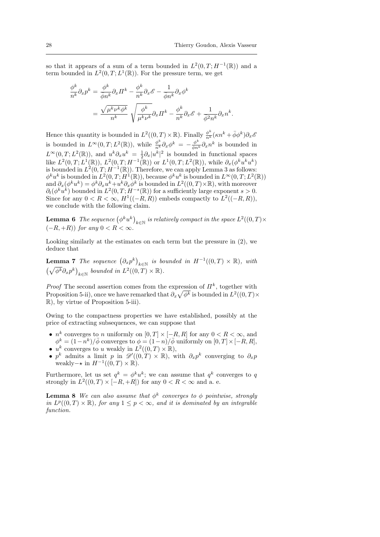so that it appears of a sum of a term bounded in  $L^2(0,T;H^{-1}(\mathbb{R}))$  and a term bounded in  $L^2(0,T;L^1(\mathbb{R}))$ . For the pressure term, we get

$$
\frac{\phi^k}{n^k} \partial_x p^k = \frac{\phi^k}{\overline{\phi} n^k} \partial_x \Pi^k - \frac{\phi^k}{n^k} \partial_x \mathscr{E} - \frac{1}{\overline{\phi} n^k} \partial_x \phi^k
$$

$$
= \frac{\sqrt{\mu^k \nu^k \phi^k}}{n^k} \sqrt{\frac{\phi^k}{\mu^k \nu^k}} \partial_x \Pi^k - \frac{\phi^k}{n^k} \partial_x \mathscr{E} + \frac{1}{\overline{\phi}^2 n^k} \partial_x n^k.
$$

Hence this quantity is bounded in  $L^2((0,T)\times\mathbb{R})$ . Finally  $\frac{\phi^k}{n^k}(\kappa n^k+\bar{\phi}\phi^k)\partial_x\phi$ is bounded in  $L^{\infty}(0,T;L^2(\mathbb{R}))$ , while  $\frac{\phi^k}{n^k}\partial_x\phi^k = -\frac{\phi^k}{\phi n^k}\partial_x n^k$  is bounded in  $L^{\infty}(0,T;L^2(\mathbb{R}))$ , and  $u^k \partial_x u^k = \frac{1}{2} \partial_x |u^k|^2$  is bounded in functional spaces like  $L^2(0,T;L^1(\mathbb{R}))$ ,  $L^2(0,T;H^{-1}(\mathbb{R}))$  or  $L^1(0,T;L^2(\mathbb{R}))$ , while  $\partial_x(\phi^k u^k u^k)$ is bounded in  $L^2(0,T;H^{-1}(\mathbb{R}))$ . Therefore, we can apply Lemma 3 as follows:  $\phi^k u^k$  is bounded in  $L^2(0,T;H^1(\mathbb{R}))$ , because  $\phi^k u^k$  is bounded in  $L^{\infty}(0,T;L^2(\mathbb{R}))$ and  $\partial_x(\phi^k u^k) = \phi^k \partial_x u^k + u^k \partial_x \phi^k$  is bounded in  $L^2((0,T) \times \mathbb{R})$ , with moreover  $\partial_t(\phi^k \bar{u}^k)$  bounded in  $L^2(0,T;H^{-s}(\mathbb{R}))$  for a sufficiently large exponent  $s>0$ . Since for any  $0 < R < \infty$ ,  $H^1((-R, R))$  embeds compactly to  $L^2((-R, R))$ , we conclude with the following claim.

**Lemma 6** The sequence  $(\phi^k u^k)_{k \in \mathbb{N}}$  is relatively compact in the space  $L^2((0,T) \times$  $(-R, +R)$ ) for any  $0 < R < \infty$ .

Looking similarly at the estimates on each term but the pressure in (2), we deduce that

**Lemma 7** The sequence  $(\partial_x p^k)_{k \in \mathbb{N}}$  is bounded in  $H^{-1}((0,T) \times \mathbb{R})$ , with  $\left(\sqrt{\phi^k}\partial_x p^k\right)_{k\in\mathbb{N}}$  bounded in  $L^2((0,T)\times\mathbb{R})$ .

*Proof* The second assertion comes from the expression of  $\Pi^k$ , together with Proposition 5-ii), once we have remarked that  $\partial_x \sqrt{\phi^k}$  is bounded in  $L^2((0,T)\times$ R), by virtue of Proposition 5-iii).

Owing to the compactness properties we have established, possibly at the price of extracting subsequences, we can suppose that

- $n^k$  converges to n uniformly on  $[0, T] \times [-R, R]$  for any  $0 < R < \infty$ , and  $\phi^k = (1 - n^k)/\bar{\phi}$  converges to  $\phi = (1 - n)/\bar{\phi}$  uniformly on  $[0, T] \times [-R, R]$ ,
- $u^k$  converges to u weakly in  $L^2((0,T)\times \mathbb{R}),$
- p<sup>k</sup> admits a limit p in  $\mathscr{D}'((0,T) \times \mathbb{R})$ , with  $\partial_x p^k$  converging to  $\partial_x p$ weakly –  $\star$  in  $H^{-1}((0,T)\times \mathbb{R})$ .

Furthermore, let us set  $q^k = \phi^k u^k$ ; we can assume that  $q^k$  converges to q strongly in  $L^2((0,T) \times [-R,+R])$  for any  $0 < R < \infty$  and a. e.

**Lemma 8** We can also assume that  $\phi^k$  converges to  $\phi$  pointwise, strongly in  $L^p((0,T)\times\mathbb{R})$ , for any  $1\leq p<\infty$ , and it is dominated by an integrable function.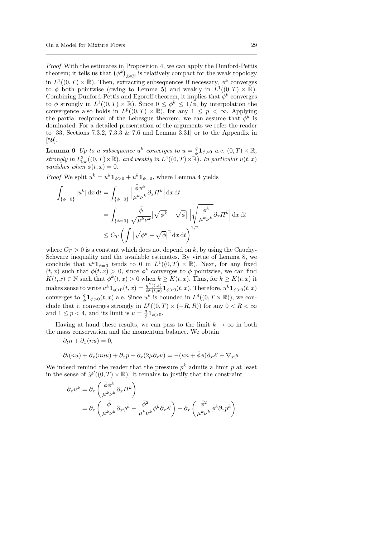Proof With the estimates in Proposition 4, we can apply the Dunford-Pettis theorem; it tells us that  $(\phi^k)_{k \in \mathbb{N}}$  is relatively compact for the weak topology in  $L^1((0,T)\times\mathbb{R})$ . Then, extracting subsequences if necessary,  $\phi^k$  converges to  $\phi$  both pointwise (owing to Lemma 5) and weakly in  $L^1((0,T) \times \mathbb{R})$ . Combining Dunford-Pettis and Egoroff theorem, it implies that  $\phi^k$  converges to  $\phi$  strongly in  $L^1((0,T)\times\mathbb{R})$ . Since  $0 \leq \phi^k \leq 1/\bar{\phi}$ , by interpolation the convergence also holds in  $L^p((0,T)\times\mathbb{R})$ , for any  $1 \leq p < \infty$ . Applying the partial reciprocal of the Lebesgue theorem, we can assume that  $\phi^k$  is dominated. For a detailed presentation of the arguments we refer the reader to [33, Sections 7.3.2, 7.3.3 & 7.6 and Lemma 3.31] or to the Appendix in [59].

**Lemma 9** Up to a subsequence  $u^k$  converges to  $u = \frac{q}{\phi} \mathbf{1}_{\phi>0}$  a.e.  $(0,T) \times \mathbb{R}$ , strongly in  $L^2_{\text{loc}}((0,T)\times \mathbb{R})$ , and weakly in  $L^4((0,T)\times \mathbb{R})$ . In particular  $u(t,x)$ vanishes when  $\phi(t,x) = 0$ .

*Proof* We split  $u^k = u^k \mathbf{1}_{\phi>0} + u^k \mathbf{1}_{\phi=0}$ , where Lemma 4 yields

$$
\int_{\{\phi=0\}} |u^k| \,dx \,dt = \int_{\{\phi=0\}} \left| \frac{\bar{\phi}\phi^k}{\mu^k \nu^k} \partial_x \Pi^k \right| \,dx \,dt
$$
\n
$$
= \int_{\{\phi=0\}} \frac{\bar{\phi}}{\sqrt{\mu^k \nu^k}} |\sqrt{\phi^k} - \sqrt{\phi}| \left| \sqrt{\frac{\phi^k}{\mu^k \nu^k}} \partial_x \Pi^k \right| \,dx \,dt
$$
\n
$$
\leq C_T \left( \int |\sqrt{\phi^k} - \sqrt{\phi}|^2 \,dx \,dt \right)^{1/2}
$$

where  $C_T > 0$  is a constant which does not depend on k, by using the Cauchy-Schwarz inequality and the available estimates. By virtue of Lemma 8, we conclude that  $u^k \mathbf{1}_{\phi=0}$  tends to 0 in  $L^1((0,T) \times \mathbb{R})$ . Next, for any fixed  $(t, x)$  such that  $\phi(t, x) > 0$ , since  $\phi^k$  converges to  $\phi$  pointwise, we can find  $K(t, x) \in \mathbb{N}$  such that  $\phi^k(t, x) > 0$  when  $k \geq K(t, x)$ . Thus, for  $k \geq K(t, x)$  it makes sense to write  $u^k \mathbf{1}_{\phi>0}(t,x) = \frac{q^k(t,x)}{\phi^k(t,x)} \mathbf{1}_{\phi>0}(t,x)$ . Therefore,  $u^k \mathbf{1}_{\phi>0}(t,x)$ converges to  $\frac{q}{\phi} \mathbf{1}_{\phi>0}(t,x)$  a.e. Since  $u^k$  is bounded in  $L^4((0,T \times \mathbb{R}))$ , we conclude that it converges strongly in  $L^p((0,T) \times (-R,R))$  for any  $0 < R < \infty$ and  $1 \leq p < 4$ , and its limit is  $u = \frac{q}{\phi} \mathbf{1}_{\phi > 0}$ .

Having at hand these results, we can pass to the limit  $k \to \infty$  in both the mass conservation and the momentum balance. We obtain

$$
\partial_t n + \partial_x (nu) = 0,
$$

$$
\partial_t(nu) + \partial_x(nuu) + \partial_x p - \partial_x(2\mu\partial_x u) = -(\kappa n + \bar{\phi}\phi)\partial_x \mathscr{E} - \nabla_x \phi.
$$

We indeed remind the reader that the pressure  $p^k$  admits a limit p at least in the sense of  $\mathscr{D}'((0,T)\times\mathbb{R})$ . It remains to justify that the constraint

$$
\partial_x u^k = \partial_x \left( \frac{\bar{\phi} \phi^k}{\mu^k \nu^k} \partial_x \Pi^k \right)
$$
  
=  $\partial_x \left( \frac{\bar{\phi}}{\mu^k \nu^k} \partial_x \phi^k + \frac{\bar{\phi}^2}{\mu^k \nu^k} \phi^k \partial_x \mathcal{E} \right) + \partial_x \left( \frac{\bar{\phi}^2}{\mu^k \nu^k} \phi^k \partial_x p^k \right)$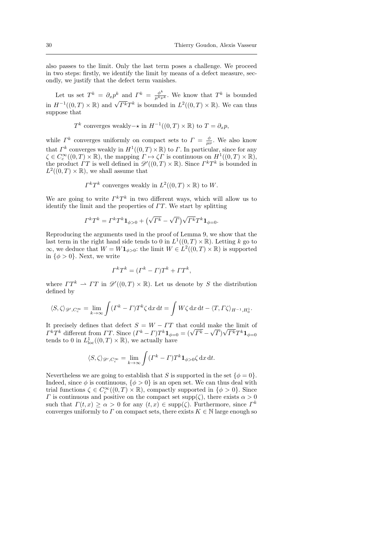also passes to the limit. Only the last term poses a challenge. We proceed in two steps: firstly, we identify the limit by means of a defect measure, secondly, we justify that the defect term vanishes.

Let us set  $T^k = \partial_x p^k$  and  $\Gamma^k = \frac{\phi^k}{\mu^k \nu^k}$ . We know that  $T^k$  is bounded in  $H^{-1}((0,T)\times\mathbb{R})$  and  $\sqrt{\Gamma^k}T^k$  is bounded in  $L^2((0,T)\times\mathbb{R})$ . We can thus suppose that

$$
T^k
$$
 converges weakly- $\star$  in  $H^{-1}((0,T) \times \mathbb{R})$  to  $T = \partial_x p$ ,

while  $\Gamma^k$  converges uniformly on compact sets to  $\Gamma = \frac{\phi}{\mu \nu}$ . We also know that  $\Gamma^k$  converges weakly in  $H^1((0,T)\times\mathbb{R})$  to  $\Gamma$ . In particular, since for any  $\zeta \in C_c^{\infty}((0,T) \times \mathbb{R})$ , the mapping  $\Gamma \mapsto \zeta \Gamma$  is continuous on  $H^1((0,T) \times \mathbb{R})$ , the product  $\Gamma T$  is well defined in  $\mathscr{D}'((0,T)\times\mathbb{R})$ . Since  $\Gamma^k T^k$  is bounded in  $L^2((0,T)\times\mathbb{R})$ , we shall assume that

$$
\Gamma^k T^k
$$
 converges weakly in  $L^2((0,T) \times \mathbb{R})$  to W.

We are going to write  $\Gamma^k T^k$  in two different ways, which will allow us to identify the limit and the properties of  $TT$ . We start by splitting

$$
\Gamma^k T^k = \Gamma^k T^k \mathbf{1}_{\phi>0} + \left(\sqrt{\Gamma^k} - \sqrt{\Gamma}\right) \sqrt{\Gamma^k} T^k \mathbf{1}_{\phi=0}.
$$

Reproducing the arguments used in the proof of Lemma 9, we show that the last term in the right hand side tends to 0 in  $L^1((0,T)\times\mathbb{R})$ . Letting k go to  $\infty$ , we deduce that  $W = W 1_{\phi > 0}$ : the limit  $W \in L^2((0, T) \times \mathbb{R})$  is supported in  $\{\phi > 0\}$ . Next, we write

$$
\Gamma^k T^k = (\Gamma^k - \Gamma) T^k + \Gamma T^k,
$$

where  $TT^k \rightharpoonup TT$  in  $\mathscr{D}'((0,T) \times \mathbb{R})$ . Let us denote by S the distribution defined by

$$
\langle S, \zeta \rangle_{\mathscr{D}', C_c^{\infty}} = \lim_{k \to \infty} \int (F^k - \Gamma) T^k \zeta \, dx \, dt = \int W \zeta \, dx \, dt - \langle T, \Gamma \zeta \rangle_{H^{-1}, H_0^1}.
$$

It precisely defines that defect  $S = W - TT$  that could make the limit of It precisely defines that defect  $S = W - I I$  that could for  $\Gamma^k T^k$  different from TT. Since  $(\Gamma^k - \Gamma)T^k \mathbf{1}_{\phi=0} = (\sqrt{\Gamma^k - \Gamma})T^k$ √  $\left( \Gamma\right)$ √  $\overline{\varGamma^k}T^k {\bf 1}_{\phi=0}$ tends to 0 in  $L^1_{loc}((0,T)\times\mathbb{R})$ , we actually have

$$
\langle S, \zeta \rangle_{\mathscr{D}', C_c^{\infty}} = \lim_{k \to \infty} \int (I^k - I) T^k \mathbf{1}_{\phi > 0} \zeta \, dx \, dt.
$$

Nevertheless we are going to establish that S is supported in the set  $\{\phi = 0\}$ . Indeed, since  $\phi$  is continuous,  $\{\phi > 0\}$  is an open set. We can thus deal with trial functions  $\zeta \in C_c^{\infty}((0,T) \times \mathbb{R})$ , compactly supported in  $\{\phi > 0\}$ . Since  $\Gamma$  is continuous and positive on the compact set supp( $\zeta$ ), there exists  $\alpha > 0$ such that  $\Gamma(t, x) \geq \alpha > 0$  for any  $(t, x) \in \text{supp}(\zeta)$ . Furthermore, since  $\Gamma^k$ converges uniformly to  $\Gamma$  on compact sets, there exists  $K \in \mathbb{N}$  large enough so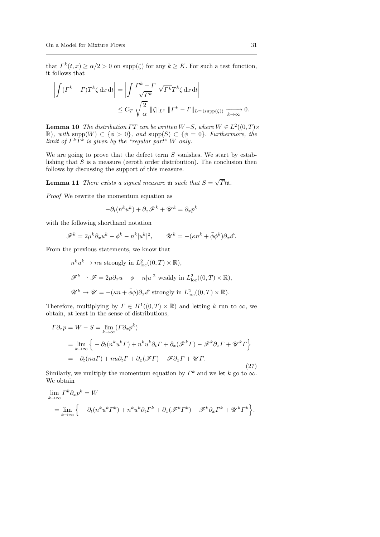that  $\Gamma^k(t, x) \ge \alpha/2 > 0$  on supp $(\zeta)$  for any  $k \ge K$ . For such a test function, it follows that

$$
\left| \int (I^k - I^*) T^k \zeta \, dx \, dt \right| = \left| \int \frac{I^k - I}{\sqrt{I^k}} \sqrt{I^k} T^k \zeta \, dx \, dt \right|
$$
  

$$
\leq C_T \sqrt{\frac{2}{\alpha}} \, \|\zeta\|_{L^2} \, \|I^k - I^k\|_{L^\infty(\text{supp}(\zeta))} \xrightarrow[k \to \infty]{} 0.
$$

**Lemma 10** The distribution  $\Gamma T$  can be written  $W-S$ , where  $W \in L^2((0,T) \times$  $\mathbb{R}$ , with supp $(W) \subset \{\phi > 0\}$ , and supp $(S) \subset \{\phi = 0\}$ . Furthermore, the limit of  $\Gamma^k T^k$  is given by the "regular part" W only.

We are going to prove that the defect term  $S$  vanishes. We start by establishing that  $S$  is a measure (zeroth order distribution). The conclusion then follows by discussing the support of this measure.

**Lemma 11** There exists a signed measure  $m$  such that  $S =$ √  $T$ m.

Proof We rewrite the momentum equation as

$$
-\partial_t (n^k u^k) + \partial_x \mathcal{F}^k + \mathcal{U}^k = \partial_x p^k
$$

with the following shorthand notation

$$
\mathscr{F}^k = 2\mu^k \partial_x u^k - \phi^k - n^k |u^k|^2, \qquad \mathscr{U}^k = -(\kappa n^k + \bar{\phi}\phi^k) \partial_x \mathscr{E}.
$$

From the previous statements, we know that

$$
n^k u^k \to nu \text{ strongly in } L^2_{\text{loc}}((0, T) \times \mathbb{R}),
$$
  

$$
\mathscr{F}^k \to \mathscr{F} = 2\mu \partial_x u - \phi - n|u|^2 \text{ weakly in } L^2_{\text{loc}}((0, T) \times \mathbb{R}),
$$
  

$$
\mathscr{U}^k \to \mathscr{U} = -(\kappa n + \bar{\phi}\phi)\partial_x \mathscr{E} \text{ strongly in } L^2_{\text{loc}}((0, T) \times \mathbb{R}).
$$

Therefore, multiplying by  $\Gamma \in H^1((0,T) \times \mathbb{R})$  and letting k run to  $\infty$ , we obtain, at least in the sense of distributions,

$$
\Gamma \partial_x p = W - S = \lim_{k \to \infty} (\Gamma \partial_x p^k)
$$
  
= 
$$
\lim_{k \to \infty} \left\{ - \partial_t (n^k u^k \Gamma) + n^k u^k \partial_t \Gamma + \partial_x (\mathscr{F}^k \Gamma) - \mathscr{F}^k \partial_x \Gamma + \mathscr{U}^k \Gamma \right\}
$$
  
= 
$$
- \partial_t (nu \Gamma) + nu \partial_t \Gamma + \partial_x (\mathscr{F} \Gamma) - \mathscr{F} \partial_x \Gamma + \mathscr{U} \Gamma.
$$
 (27)

Similarly, we multiply the momentum equation by  $\Gamma^k$  and we let k go to  $\infty$ . We obtain

$$
\lim_{k \to \infty} \Gamma^k \partial_x p^k = W
$$
  
= 
$$
\lim_{k \to \infty} \left\{ - \partial_t (n^k u^k \Gamma^k) + n^k u^k \partial_t \Gamma^k + \partial_x (\mathscr{F}^k \Gamma^k) - \mathscr{F}^k \partial_x \Gamma^k + \mathscr{U}^k \Gamma^k \right\}.
$$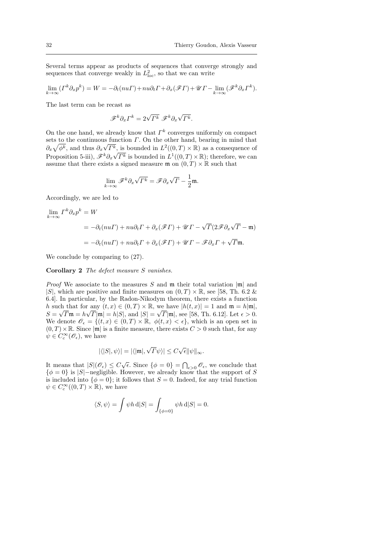Several terms appear as products of sequences that converge strongly and sequences that converge weakly in  $L^2_{\text{loc}}$ , so that we can write

$$
\lim_{k \to \infty} (\Gamma^k \partial_x p^k) = W = -\partial_t (nu\Gamma) + nu\partial_t \Gamma + \partial_x (\mathscr{F}\Gamma) + \mathscr{U}\Gamma - \lim_{k \to \infty} (\mathscr{F}^k \partial_x \Gamma^k).
$$

The last term can be recast as

$$
\mathscr{F}^k \partial_x \varGamma^k = 2\sqrt{\varGamma^k} \; \mathscr{F}^k \partial_x \sqrt{\varGamma^k}.
$$

On the one hand, we already know that  $\Gamma^k$  converges uniformly on compact sets to the continuous function  $\Gamma$ . On the other hand, bearing in mind that  $\partial_x \sqrt{\phi^k}$ , and thus  $\partial_x \sqrt{\phi^k}$ , is bounded in  $L^2((0,T) \times \mathbb{R})$  as a consequence of Proposition 5-iii),  $\mathscr{F}^k \partial_x \sqrt{\Gamma^k}$  is bounded in  $L^1((0,T) \times \mathbb{R})$ ; therefore, we can assume that there exists a signed measure  $\mathfrak{m}$  on  $(0,T) \times \mathbb{R}$  such that

$$
\lim_{k\to\infty}\mathscr{F}^k\partial_x\sqrt{\varGamma^k}=\mathscr{F}\partial_x\sqrt{\varGamma}-\frac{1}{2}\mathfrak{m}.
$$

Accordingly, we are led to

$$
\lim_{k \to \infty} \Gamma^k \partial_x p^k = W
$$
  
=  $-\partial_t (nu\Gamma) + nu\partial_t \Gamma + \partial_x (\mathscr{F}\Gamma) + \mathscr{U}\Gamma - \sqrt{\Gamma} (2\mathscr{F} \partial_x \sqrt{\Gamma} - \mathfrak{m})$   
=  $-\partial_t (nu\Gamma) + nu\partial_t \Gamma + \partial_x (\mathscr{F}\Gamma) + \mathscr{U}\Gamma - \mathscr{F} \partial_x \Gamma + \sqrt{\Gamma} \mathfrak{m}.$ 

We conclude by comparing to (27).

Corollary 2 The defect measure S vanishes.

*Proof* We associate to the measures S and m their total variation  $|m|$  and |S|, which are positive and finite measures on  $(0, T) \times \mathbb{R}$ , see [58, Th. 6.2 & 6.4]. In particular, by the Radon-Nikodym theorem, there exists a function h such that for any  $(t, x) \in (0, T) \times \mathbb{R}$ , we have  $|h(t, x)| = 1$  and  $\mathfrak{m} = h|\mathfrak{m}|$ ,  $S = \sqrt{\Gamma} \mathfrak{m} = h \sqrt{\Gamma} |\mathfrak{m}| = h |S|$ , and  $|S| = \sqrt{\Gamma} |\mathfrak{m}|$ , see [58, Th. 6.12]. Let  $\epsilon > 0$ . We denote  $\mathscr{O}_{\epsilon} = \{(t,x) \in (0,T) \times \mathbb{R}, \phi(t,x) < \epsilon\}$ , which is an open set in  $(0, T) \times \mathbb{R}$ . Since  $|\mathfrak{m}|$  is a finite measure, there exists  $C > 0$  such that, for any  $\psi \in C_c^{\infty}(\mathscr{O}_\epsilon)$ , we have

$$
|\langle |S|, \psi \rangle| = |\langle |\mathfrak{m}|, \sqrt{\varGamma} \psi \rangle| \le C \sqrt{\epsilon} ||\psi||_{\infty}.
$$

It means that  $|S|(\mathscr{O}_{\epsilon}) \leq C\sqrt{\epsilon}$ . Since  $\{\phi = 0\} = \bigcap_{\epsilon > 0} \mathscr{O}_{\epsilon}$ , we conclude that  $\{\phi = 0\}$  is  $|S|$ -negligible. However, we already know that the support of S is included into  $\{\phi = 0\}$ ; it follows that  $S = 0$ . Indeed, for any trial function  $\psi \in C_c^{\infty}((0,T) \times \mathbb{R})$ , we have

$$
\langle S, \psi \rangle = \int \psi h \, d|S| = \int_{\{\phi=0\}} \psi h \, d|S| = 0.
$$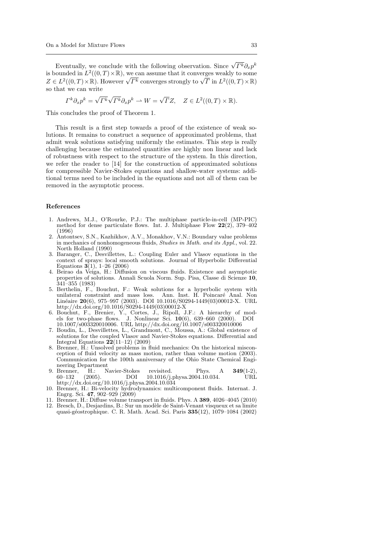Eventually, we conclude with the following observation. Since  $\sqrt{\Gamma^k} \partial_x p^k$ is bounded in  $L^2((0,T)\times\mathbb{R})$ , we can assume that it converges weakly to some is bounded in  $L^1((0,T)\times\mathbb{R})$ , we can assume that it converges weakly to some  $Z \in L^2((0,T)\times\mathbb{R})$ . However  $\sqrt{\Gamma^k}$  converges strongly to  $\sqrt{\Gamma}$  in  $L^2((0,T)\times\mathbb{R})$ . so that we can write

$$
\Gamma^k \partial_x p^k = \sqrt{\Gamma^k} \sqrt{\Gamma^k} \partial_x p^k \rightharpoonup W = \sqrt{\Gamma} Z, \quad Z \in L^2((0, T) \times \mathbb{R}).
$$

This concludes the proof of Theorem 1.

This result is a first step towards a proof of the existence of weak solutions. It remains to construct a sequence of approximated problems, that admit weak solutions satisfying uniformly the estimates. This step is really challenging because the estimated quantities are highly non linear and lack of robustness with respect to the structure of the system. In this direction, we refer the reader to [14] for the construction of approximated solutions for compressible Navier-Stokes equations and shallow-water systems: additional terms need to be included in the equations and not all of them can be removed in the asymptotic process.

### References

- 1. Andrews, M.J., O'Rourke, P.J.: The multiphase particle-in-cell (MP-PIC) method for dense particulate flows. Int. J. Multiphase Flow  $22(2)$ , 379–402 (1996)
- 2. Antontsev, S.N., Kazhikhov, A.V., Monakhov, V.N.: Boundary value problems in mechanics of nonhomogeneous fluids, *Studies in Math. and its Appl.*, vol. 22. North Holland (1990)
- 3. Baranger, C., Desvillettes, L.: Coupling Euler and Vlasov equations in the context of sprays: local smooth solutions. Journal of Hyperbolic Differential Equations  $3(1)$ , 1–26 (2006)
- 4. Beirao da Veiga, H.: Diffusion on viscous fluids. Existence and asymptotic properties of solutions. Annali Scuola Norm. Sup. Pisa, Classe di Scienze 10, 341–355 (1983)
- 5. Berthelin, F., Bouchut, F.: Weak solutions for a hyperbolic system with unilateral constraint and mass loss. Ann. Inst. H. Poincaré Anal. Non Linéaire 20(6), 975–997 (2003). DOI 10.1016/S0294-1449(03)00012-X. URL http://dx.doi.org/10.1016/S0294-1449(03)00012-X
- 6. Bouchut, F., Brenier, Y., Cortes, J., Ripoll, J.F.: A hierarchy of models for two-phase flows. J. Nonlinear Sci. 10(6), 639–660 (2000). DOI 10.1007/s003320010006. URL http://dx.doi.org/10.1007/s003320010006
- 7. Boudin, L., Desvillettes, L., Grandmont, C., Moussa, A.: Global existence of solutions for the coupled Vlasov and Navier-Stokes equations. Differential and Integral Equations  $22(11-12)$  (2009)
- 8. Brenner, H.: Unsolved problems in fluid mechanics: On the historical misconception of fluid velocity as mass motion, rather than volume motion (2003). Communication for the 100th anniversary of the Ohio State Chemical Engineering Department<br>9. Brenner, H.: N
- H.: Navier-Stokes revisited. Phys. A 349(1-2) 60–132 (2005). DOI 10.1016/j.physa.2004.10.034. URL http://dx.doi.org/10.1016/j.physa.2004.10.034
- 10. Brenner, H.: Bi-velocity hydrodynamics: multicomponent fluids. Internat. J. Engrg. Sci. 47, 902–929 (2009)
- 11. Brenner, H.: Diffuse volume transport in fluids. Phys. A 389, 4026–4045 (2010) 12. Bresch, D., Desjardins, B.: Sur un modèle de Saint-Venant visqueux et sa limite
- quasi-g´eostrophique. C. R. Math. Acad. Sci. Paris 335(12), 1079–1084 (2002)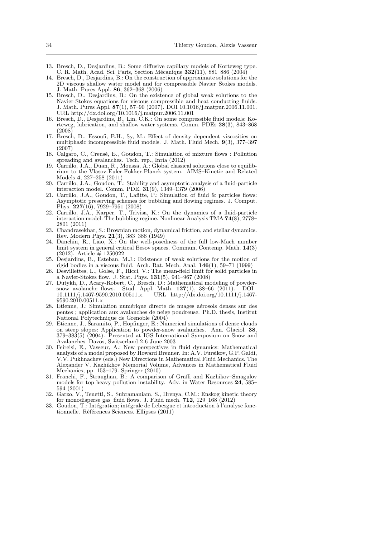- 13. Bresch, D., Desjardins, B.: Some diffusive capillary models of Korteweg type. C. R. Math. Acad. Sci. Paris, Section Mécanique  $332(11)$ , 881–886 (2004)
- 14. Bresch, D., Desjardins, B.: On the construction of approximate solutions for the 2D viscous shallow water model and for compressible Navier–Stokes models. J. Math. Pures Appl. 86, 362–368 (2006)
- 15. Bresch, D., Desjardins, B.: On the existence of global weak solutions to the Navier-Stokes equations for viscous compressible and heat conducting fluids. J. Math. Pures Appl. 87(1), 57–90 (2007). DOI 10.1016/j.matpur.2006.11.001. URL http://dx.doi.org/10.1016/j.matpur.2006.11.001
- 16. Bresch, D., Desjardins, B., Lin, C.K.: On some compressible fluid models: Korteweg, lubrication, and shallow water systems. Comm. PDEs 28(3), 843–868 (2008)
- 17. Bresch, D., Essoufi, E.H., Sy, M.: Effect of density dependent viscosities on multiphasic incompressible fluid models. J. Math. Fluid Mech. 9(3), 377–397 (2007)
- 18. Calgaro, C., Creusé, E., Goudon, T.: Simulation of mixture flows : Pollution spreading and avalanches. Tech. rep., Inria (2012)
- 19. Carrillo, J.A., Duan, R., Moussa, A.: Global classical solutions close to equilibrium to the Vlasov-Euler-Fokker-Planck system. AIMS–Kinetic and Related Models 4, 227–258 (2011)
- 20. Carrillo, J.A., Goudon, T.: Stability and asymptotic analysis of a fluid-particle interaction model. Comm. PDE. 31(9), 1349–1379 (2006)
- 21. Carrillo, J.A., Goudon, T., Lafitte, P.: Simulation of fluid & particles flows: Asymptotic preserving schemes for bubbling and flowing regimes. J. Comput. Phys. 227(16), 7929–7951 (2008)
- 22. Carrillo, J.A., Karper, T., Trivisa, K.: On the dynamics of a fluid-particle interaction model: The bubbling regime. Nonlinear Analysis TMA  $74(8)$ , 2778– 2801 (2011)
- 23. Chandrasekhar, S.: Brownian motion, dynamical friction, and stellar dynamics. Rev. Modern Phys. 21(3), 383–388 (1949)
- 24. Danchin, R., Liao, X.: On the well-posedness of the full low-Mach number limit system in general critical Besov spaces. Commun. Contemp. Math. 14(3)  $(2012)$ . Article  $# 1250022$
- 25. Desjardins, B., Esteban, M.J.: Existence of weak solutions for the motion of rigid bodies in a viscous fluid. Arch. Rat. Mech. Anal. 146(1), 59–71 (1999)
- 26. Desvillettes, L., Golse, F., Ricci, V.: The mean-field limit for solid particles in a Navier-Stokes flow. J. Stat. Phys.  $131(5)$ , 941–967 (2008)
- 27. Dutykh, D., Acary-Robert, C., Bresch, D.: Mathematical modeling of powdersnow avalanche flows. Stud. Appl. Math. 127(1), 38–66 (2011). DOI 10.1111/j.1467-9590.2010.00511.x. URL http://dx.doi.org/10.1111/j.1467 URL http://dx.doi.org/10.1111/j.1467-9590.2010.00511.x
- 28. Etienne, J.: Simulation numérique directe de nuages aérosols denses sur des pentes ; application aux avalanches de neige poudreuse. Ph.D. thesis, Institut National Polytechnique de Grenoble (2004)
- 29. Etienne, J., Saramito, P., Hopfinger, E.: Numerical simulations of dense clouds on steep slopes: Application to powder-snow avalanches. Ann. Glaciol. 38, 379–383(5) (2004). Presented at IGS International Symposium on Snow and Avalanches. Davos, Switzerland 2-6 June 2003
- 30. Feireisl, E., Vasseur, A.: New perspectives in fluid dynamics: Mathematical analysis of a model proposed by Howard Brenner. In: A.V. Fursikov, G.P. Galdi, V.V. Pukhnachev (eds.) New Directions in Mathematical Fluid Mechanics. The Alexander V. Kazhikhov Memorial Volume, Advances in Mathematical Fluid Mechanics, pp. 153–179. Springer (2010)
- 31. Franchi, F., Straughan, B.: A comparison of Graffi and Kazhikov–Smagulov models for top heavy pollution instability. Adv. in Water Resources 24, 585– 594 (2001)
- 32. Garzo, V., Tenetti, S., Subramaniam, S., Hrenya, C.M.: Enskog kinetic theory for monodisperse gas–fluid flows. J. Fluid mech.  $712$ ,  $129-168$   $(2012)$
- 33. Goudon, T.: Intégration; intégrale de Lebesgue et introduction à l'analyse fonctionnelle. Références Sciences. Ellipses (2011)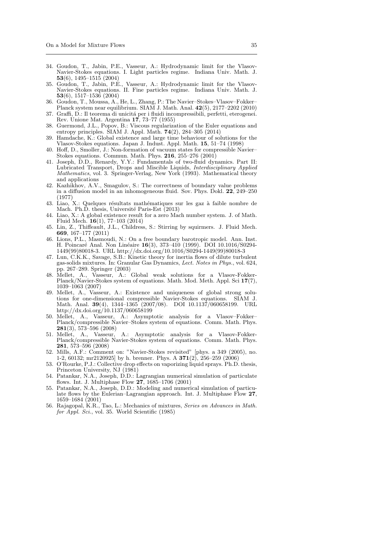- 34. Goudon, T., Jabin, P.E., Vasseur, A.: Hydrodynamic limit for the Vlasov-Navier-Stokes equations. I. Light particles regime. Indiana Univ. Math. J. 53(6), 1495–1515 (2004)
- 35. Goudon, T., Jabin, P.E., Vasseur, A.: Hydrodynamic limit for the Vlasov-Navier-Stokes equations. II. Fine particles regime. Indiana Univ. Math. J. 53(6), 1517–1536 (2004)
- 36. Goudon, T., Moussa, A., He, L., Zhang, P.: The Navier–Stokes–Vlasov–Fokker– Planck system near equilibrium. SIAM J. Math. Anal. 42(5), 2177–2202 (2010)
- 37. Graffi, D.: Il teorema di unicitá per i fluidi incompressibili, perfetti, eterogenei. Rev. Unione Mat. Argentina 17, 73–77 (1955)
- 38. Guermond, J.L., Popov, B.: Viscous regularization of the Euler equations and entropy principles. SIAM J. Appl. Math. **74**(2), 284–305 (2014)
- 39. Hamdache, K.: Global existence and large time behaviour of solutions for the Vlasov-Stokes equations. Japan J. Indust. Appl. Math. 15, 51–74 (1998)
- 40. Hoff, D., Smoller, J.: Non-formation of vacuum states for compressible Navier– Stokes equations. Commun. Math. Phys.  $216$ ,  $255-276$   $(2001)$
- 41. Joseph, D.D., Renardy, Y.Y.: Fundamentals of two-fluid dynamics. Part II: Lubricated Transport, Drops and Miscible Liquids, Interdisciplinary Applied Mathematics, vol. 3. Springer-Verlag, New York (1993). Mathematical theory and applications
- 42. Kazhikhov, A.V., Smagulov, S.: The correctness of boundary value problems in a diffusion model in an inhomogeneous fluid. Sov. Phys. Dokl.  $22, 249-250$ (1977)
- 43. Liao, X.: Quelques résultats mathématiques sur les gaz à faible nombre de Mach. Ph.D. thesis, Université Paris-Est (2013)
- 44. Liao, X.: A global existence result for a zero Mach number system. J. of Math. Fluid Mech. 16(1), 77–103 (2014)
- 45. Lin, Z., Thiffeault, J.L., Childress, S.: Stirring by squirmers. J. Fluid Mech. 669, 167–177 (2011)
- 46. Lions, P.L., Masmoudi, N.: On a free boundary barotropic model. Ann. Inst. H. Poincaré Anal. Non Linéaire 16(3), 373-410 (1999). DOI 10.1016/S0294-1449(99)80018-3. URL http://dx.doi.org/10.1016/S0294-1449(99)80018-3
- 47. Lun, C.K.K., Savage, S.B.: Kinetic theory for inertia flows of dilute turbulent gas-solids mixtures. In: Granular Gas Dynamics, Lect. Notes in Phys., vol. 624, pp. 267–289. Springer (2003)
- 48. Mellet, A., Vasseur, A.: Global weak solutions for a Vlasov-Fokker-Planck/Navier-Stokes system of equations. Math. Mod. Meth. Appl. Sci 17(7), 1039–1063 (2007)
- 49. Mellet, A., Vasseur, A.: Existence and uniqueness of global strong solutions for one-dimensional compressible Navier-Stokes equations. SIAM J. Math. Anal. 39(4), 1344–1365 (2007/08). DOI 10.1137/060658199. URL http://dx.doi.org/10.1137/060658199
- 50. Mellet, A., Vasseur, A.: Asymptotic analysis for a Vlasov–Fokker– Planck/compressible Navier–Stokes system of equations. Comm. Math. Phys. 281(3), 573–596 (2008)
- 51. Mellet, A., Vasseur, A.: Asymptotic analysis for a Vlasov-Fokker-Planck/compressible Navier-Stokes system of equations. Comm. Math. Phys. 281, 573–596 (2008)
- 52. Mills, A.F.: Comment on: "Navier-Stokes revisited" [phys. a 349 (2005), no. 1-2, 60132; mr2120925] by h. brenner. Phys. A  $371(2)$ ,  $256-259$  (2006)
- 53. O'Rourke, P.J.: Collective drop effects on vaporizing liquid sprays. Ph.D. thesis, Princeton University, NJ (1981)
- 54. Patankar, N.A., Joseph, D.D.: Lagrangian numerical simulation of particulate flows. Int. J. Multiphase Flow 27, 1685–1706 (2001)
- 55. Patankar, N.A., Joseph, D.D.: Modeling and numerical simulation of particulate flows by the Eulerian–Lagrangian approach. Int. J. Multiphase Flow 27, 1659–1684 (2001)
- 56. Rajagopal, K.R., Tao, L.: Mechanics of mixtures, Series on Advances in Math. for Appl. Sci., vol. 35. World Scientific (1985)